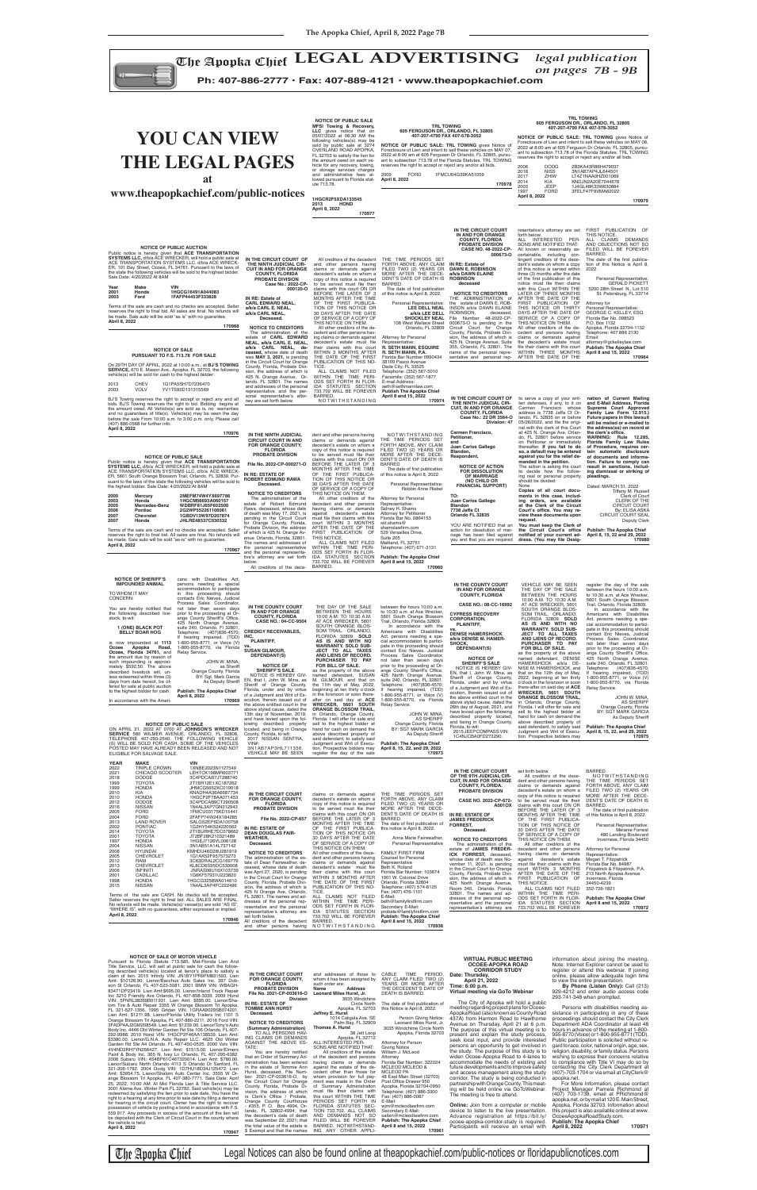# **Y THE LEGAL PAGES**

*on pages 7B - 9B*

**Ph: 407-886-2777 • Fax: 407-889-4121 • www.theapopkachief.com**

| Lien And<br>e follow-<br>satisfy a<br>593. Lien<br>397 Dob-<br>WBAGH-<br>ck Repair<br>09 Hond<br>enor/Sha-<br>Apopka,<br>3074201.<br>: 1101 S<br>Ford VIN:<br>ny's Auto<br>, FL 407-<br>Lien Amt:<br>d Winter<br>Volv VIN:<br>or/Elmers<br>95-6382.<br>\$780.00.<br>nford, FL<br>172. Lien<br>5 W Or-<br>ate: April<br><i>r</i> ice LLC.<br>s) may be<br>have the<br>่ demand<br>o recover<br>with F.S.<br>e lien will<br>ty where<br>170947 | IN THE CIRCUIT COURT<br>FOR ORANGE COUNTY,<br><b>FLORIDA</b><br><b>PROBATE DIVISION</b><br>File No. 2021-CP-003616-O<br><b>Division</b><br>IN RE: ESTATE OF<br><b>TOMMIE ANN HURST</b><br>Deceased.<br><b>NOTICE TO CREDITORS</b><br>(Summary Administration)<br>TO ALL PERSONS HAV-<br>ING CLAIMS OR DEMANDS<br>AGAINST THE ABOVE ES-<br>TATE:<br>You are hereby notified<br>that an Order of Summary Ad-<br>ministration has been entered<br>in the estate of Tommie Ann<br>Hurst, deceased, File Num-<br>ber 2021-CP-003616-O, by<br>the Circuit Court for Orange<br>County, Florida, Probate Di-<br>vision, the address of which<br>is Clerk's Office / Probate,<br>Orange County Courthouse<br>- #355, P. O. Box 4994, Or-<br>lando. FL 32802-4994: that<br>the decedent's date of death<br>was September 22, 2021; that<br>the total value of the estate is<br>\$ Exempt and that the names | and addresses of those to<br>whom it has been assigned by<br>such order are:<br><b>Address</b><br>Name<br>Leonard Miles Hurst, Jr.<br>3035 Windchine<br>Circle North<br>Apopka, FL 32703<br>Jeffrey E. Hurst<br>1014 Caligula Ave. SE<br>Palm Bay, FL 32909<br><b>Thomas A. Hurst</b><br>38 Jett Loop<br>Apopka, FL 32712<br>ALL INTERESTED PER-<br>SONS ARE NOTIFIED THAT:<br>All creditors of the estate<br>of the decedent and persons<br>having claims or demands<br>against the estate of the de-<br>cedent other than those for<br>whom provision for full pay-<br>ment was made in the Order<br>of Summary Administration<br>must file their claims with<br>this court WITHIN THE TIME<br>PERIODS SET FORTH IN<br>FLORIDA STATUTES SEC-<br>TION 733,702. ALL CLAIMS<br>AND DEMANDS NOT SO<br>FILED WILL BE FOREVER<br>BARRED. NOTWITHSTAND-<br>ING ANY OTHER APPLI- | <b>TIME</b><br>PERIOD.<br>CABLE<br>ANY CLAIM FILED TWO (2)<br>YEARS OR MORE AFTER<br>THE DECEDENT'S DATE OF<br>DEATH IS BARRED.<br>The date of first publication of<br>this Notice is April 8, 2022.<br>Person Giving Notice:<br>Leonard Miles Hurst, Jr.<br>3035 Windchime Circle North<br>Apopka, Florida 32703<br>Attorney for Person<br><b>Giving Notice</b><br>William J. McLeod<br>Attorney<br>Florida Bar Number: 322024<br>MCLEOD MCLEOD &<br><b>MCLEOD PA</b><br>48 East Main Street (32703)<br>Post Office Drawer 950<br>Apopka, Florida 32704-0950<br>Telephone: (407) 886-3300<br>Fax: (407) 886-0087<br>E-Mail:<br>wim@mcleodlawfirm.com<br>Secondary E-Mail:<br>sallen@mcleodlawfirm.com<br><b>Publish: The Apopka Chief</b><br>April 8 and 15, 2022<br>170961 | <b>VIRTUAL PUBLIC MEETING</b><br><b>OCOEE-APOPKA ROAD</b><br><b>CORRIDOR STUDY</b><br>Date: Thursday,<br>April 21, 2022<br>Time: 6:00 p.m.<br>Virtual meeting via GoTo Webinar<br>The City of Apopka will hold a public<br>meeting regarding project plans for Ocoee-<br>Apopka Road (also known as County Road<br>437A) from Harmon Road to Hawthorne<br>Avenue on Thursday, April 21 at 6 p.m.<br>The purpose of this virtual meeting is to<br>present and explain the study process,<br>seek local input, and provide interested<br>persons an opportunity to get involved in<br>the study. The purpose of this study is to<br>widen Ocoee-Apopka Road to 4-lanes to<br>accommodate the needs of existing and<br>future developments and to improve safety<br>and access management along the study<br>corridor. The study is being conducted in<br>partnership with Orange County. This meet-<br>ing will be held online via GoToWebinar.<br>The meeting is free to attend.<br><b>Online:</b> Join from a computer or mobile<br>device to listen to the live presentation.<br>Advance registration at https://bit.ly/<br>ocoee-apopka-corridor-study is required.<br>Participants will receive an email with | information about joining the meeting.<br>Note: Internet Explorer cannot be used to<br>register or attend this webinar. If joining<br>online, please allow adequate login time<br>to view the entire presentation.<br>By Phone (Listen Only): Call (213)<br>929-4212 and enter audio access code<br>293-741-348 when prompted.<br>Persons with disabilities needing as-<br>sistance in participating in any of these<br>proceedings should contact the City Clerk<br>Department ADA Coordinator at least 48<br>hours in advance of the meeting at 1-800-<br>955-8770 (Voice) or 1-800-955-8771 (TDD).<br>Public participation is solicited without re-<br>gard to race, color, national origin, age, sex,<br>religion, disability, or family status. Persons<br>wishing to express their concerns relative<br>to compliance with Title VI may do so by<br>contacting the City Clerk Department at<br>$(407)$ -703-1704 or via email at CityClerk@<br>apopka.net.<br>For More Information, please contact<br>Project Manager Pamela Richmond at<br>(407) 703-1739, email at PRichmond@<br>apopka.net, or by mail at 120 E. Main Street,<br>Apopka, Florida 32703. Information about<br>this project is also available online at www.<br>OcoeeApopkaRoadStudy.com.<br><b>Publish: The Apopka Chief</b><br>April 8, 2022<br>170971 |
|----------------------------------------------------------------------------------------------------------------------------------------------------------------------------------------------------------------------------------------------------------------------------------------------------------------------------------------------------------------------------------------------------------------------------------------------|---------------------------------------------------------------------------------------------------------------------------------------------------------------------------------------------------------------------------------------------------------------------------------------------------------------------------------------------------------------------------------------------------------------------------------------------------------------------------------------------------------------------------------------------------------------------------------------------------------------------------------------------------------------------------------------------------------------------------------------------------------------------------------------------------------------------------------------------------------------------------------------------------|----------------------------------------------------------------------------------------------------------------------------------------------------------------------------------------------------------------------------------------------------------------------------------------------------------------------------------------------------------------------------------------------------------------------------------------------------------------------------------------------------------------------------------------------------------------------------------------------------------------------------------------------------------------------------------------------------------------------------------------------------------------------------------------------------------------------------------------------------------------------------|------------------------------------------------------------------------------------------------------------------------------------------------------------------------------------------------------------------------------------------------------------------------------------------------------------------------------------------------------------------------------------------------------------------------------------------------------------------------------------------------------------------------------------------------------------------------------------------------------------------------------------------------------------------------------------------------------------------------------------------------------------------------------|------------------------------------------------------------------------------------------------------------------------------------------------------------------------------------------------------------------------------------------------------------------------------------------------------------------------------------------------------------------------------------------------------------------------------------------------------------------------------------------------------------------------------------------------------------------------------------------------------------------------------------------------------------------------------------------------------------------------------------------------------------------------------------------------------------------------------------------------------------------------------------------------------------------------------------------------------------------------------------------------------------------------------------------------------------------------------------------------------------------------------------------------------------------------------------------------------------------|---------------------------------------------------------------------------------------------------------------------------------------------------------------------------------------------------------------------------------------------------------------------------------------------------------------------------------------------------------------------------------------------------------------------------------------------------------------------------------------------------------------------------------------------------------------------------------------------------------------------------------------------------------------------------------------------------------------------------------------------------------------------------------------------------------------------------------------------------------------------------------------------------------------------------------------------------------------------------------------------------------------------------------------------------------------------------------------------------------------------------------------------------------------------------------------------------------------------------------------------------------------------------------------------------------------------------------|
|----------------------------------------------------------------------------------------------------------------------------------------------------------------------------------------------------------------------------------------------------------------------------------------------------------------------------------------------------------------------------------------------------------------------------------------------|---------------------------------------------------------------------------------------------------------------------------------------------------------------------------------------------------------------------------------------------------------------------------------------------------------------------------------------------------------------------------------------------------------------------------------------------------------------------------------------------------------------------------------------------------------------------------------------------------------------------------------------------------------------------------------------------------------------------------------------------------------------------------------------------------------------------------------------------------------------------------------------------------|----------------------------------------------------------------------------------------------------------------------------------------------------------------------------------------------------------------------------------------------------------------------------------------------------------------------------------------------------------------------------------------------------------------------------------------------------------------------------------------------------------------------------------------------------------------------------------------------------------------------------------------------------------------------------------------------------------------------------------------------------------------------------------------------------------------------------------------------------------------------------|------------------------------------------------------------------------------------------------------------------------------------------------------------------------------------------------------------------------------------------------------------------------------------------------------------------------------------------------------------------------------------------------------------------------------------------------------------------------------------------------------------------------------------------------------------------------------------------------------------------------------------------------------------------------------------------------------------------------------------------------------------------------------|------------------------------------------------------------------------------------------------------------------------------------------------------------------------------------------------------------------------------------------------------------------------------------------------------------------------------------------------------------------------------------------------------------------------------------------------------------------------------------------------------------------------------------------------------------------------------------------------------------------------------------------------------------------------------------------------------------------------------------------------------------------------------------------------------------------------------------------------------------------------------------------------------------------------------------------------------------------------------------------------------------------------------------------------------------------------------------------------------------------------------------------------------------------------------------------------------------------|---------------------------------------------------------------------------------------------------------------------------------------------------------------------------------------------------------------------------------------------------------------------------------------------------------------------------------------------------------------------------------------------------------------------------------------------------------------------------------------------------------------------------------------------------------------------------------------------------------------------------------------------------------------------------------------------------------------------------------------------------------------------------------------------------------------------------------------------------------------------------------------------------------------------------------------------------------------------------------------------------------------------------------------------------------------------------------------------------------------------------------------------------------------------------------------------------------------------------------------------------------------------------------------------------------------------------------|

The Apopka Chief LEGAL ADVERTISING *legal publication*<br>on pages 7B - 9B

Norige of SALE of MOTICE and the lice of MOTICAL<br>Pursuant to Florida Statute 713.585, Mid-Florida Lien And<br>Title Service, LLC. will sell at public sale for cash the follow-<br>ing described vehicle(s) located at lienors pace

| <b>YOU CAN VIEW</b><br>THE LEGAL PAGES<br>at<br>www.theapopkachief.com/public-notices                                                                                                                                                                                                                                                                                                                                                                                                                                                                                                                                                                                                                                                                                                                                                                                                                                                                                                                                                                                                                                                                                                                                                                                                                                                                                                                                          |                                                                                                                                                                                                                                                                                                                                                                                                                                                                                                                                                                                                                                                                                                                                                                                  | <b>NOTICE OF PUBLIC SALE</b><br>MFSI Towing & Recovery,<br>LLC gives notice that on<br>05/07/2022 at 08:30 AM the<br>following vehicles(s) may be<br>sold by public sale at 3274<br>OVERLAND ROAD APOPKA,<br>FL 32703 to satisfy the lien for<br>the amount owed on each ve-<br>hicle for any recovery, towing,<br>or storage services charges<br>and administrative fees al-<br>lowed pursuant to Florida stat-<br>ute 713.78.<br>1HGCR2F5XDA133545<br><b>HOND</b><br>2013<br>April 8, 2022<br>170977                                                                                                                                                                                                                                                                                                                          | 605 FERGUSON DR., ORLANDO, FL 32805<br>NOTICE OF PUBLIC SALE: TRL TOWING gives Notice of<br>Foreclosure of Lien and intent to sell these vehicles on MAY 07,<br>2022 at 8:00 am at 605 Ferguson Dr Orlando, FL 32805, pursu-<br>ant to subsection 713.78 of the Florida Statutes. TRL TOWING<br>reserves the right to accept or reject any and/or all bids.<br>2009<br><b>FORD</b><br>April 8, 2022                                                                                                                                                                                                                                                                                                       | <b>TRL TOWING</b><br>407-207-4790 FAX 407-578-3052<br>1FMCU04G39KA51059<br>170978                                                                                                                                                                                                                                                                                                                                                                                                                                                                                                                                                                                                                                                                                                                        | <b>TRL TOWING</b><br>605 FERGUSON DR., ORLANDO, FL 32805<br>407-207-4790 FAX 407-578-3052<br>NOTICE OF PUBLIC SALE: TRL TOWING gives Notice of<br>Foreclosure of Lien and intent to sell these vehicles on MAY 08,<br>2022 at 8:00 am at 605 Ferguson Dr Orlando, FL 32805, pursu-<br>ant to subsection 713.78 of the Florida Statutes. TRL TOWING<br>reserves the right to accept or reject any and/or all bids.<br>2006<br><b>DODG</b><br>2018<br>NISS<br>2017<br>ZHIW<br>2014<br>KIA<br><b>JEEP</b><br>2003<br><b>FORD</b><br>1997<br>April 8, 2022                                                                                                                                                                                                                                                                                                                                                                                                             | 2B3KA43R86H479037<br>3N1AB7AP4JL644501<br>LT4Z1NAA0HZ001069<br>KNDJN2A20E7044676<br>1J4GL48K33W630884<br>3FELF47F9VMA62022<br>170979                                                                                                                                                                                                                                                                                                                                                                                                                                                                                                                                                                                                                           |
|--------------------------------------------------------------------------------------------------------------------------------------------------------------------------------------------------------------------------------------------------------------------------------------------------------------------------------------------------------------------------------------------------------------------------------------------------------------------------------------------------------------------------------------------------------------------------------------------------------------------------------------------------------------------------------------------------------------------------------------------------------------------------------------------------------------------------------------------------------------------------------------------------------------------------------------------------------------------------------------------------------------------------------------------------------------------------------------------------------------------------------------------------------------------------------------------------------------------------------------------------------------------------------------------------------------------------------------------------------------------------------------------------------------------------------|----------------------------------------------------------------------------------------------------------------------------------------------------------------------------------------------------------------------------------------------------------------------------------------------------------------------------------------------------------------------------------------------------------------------------------------------------------------------------------------------------------------------------------------------------------------------------------------------------------------------------------------------------------------------------------------------------------------------------------------------------------------------------------|---------------------------------------------------------------------------------------------------------------------------------------------------------------------------------------------------------------------------------------------------------------------------------------------------------------------------------------------------------------------------------------------------------------------------------------------------------------------------------------------------------------------------------------------------------------------------------------------------------------------------------------------------------------------------------------------------------------------------------------------------------------------------------------------------------------------------------|-----------------------------------------------------------------------------------------------------------------------------------------------------------------------------------------------------------------------------------------------------------------------------------------------------------------------------------------------------------------------------------------------------------------------------------------------------------------------------------------------------------------------------------------------------------------------------------------------------------------------------------------------------------------------------------------------------------|----------------------------------------------------------------------------------------------------------------------------------------------------------------------------------------------------------------------------------------------------------------------------------------------------------------------------------------------------------------------------------------------------------------------------------------------------------------------------------------------------------------------------------------------------------------------------------------------------------------------------------------------------------------------------------------------------------------------------------------------------------------------------------------------------------|--------------------------------------------------------------------------------------------------------------------------------------------------------------------------------------------------------------------------------------------------------------------------------------------------------------------------------------------------------------------------------------------------------------------------------------------------------------------------------------------------------------------------------------------------------------------------------------------------------------------------------------------------------------------------------------------------------------------------------------------------------------------------------------------------------------------------------------------------------------------------------------------------------------------------------------------------------------------|----------------------------------------------------------------------------------------------------------------------------------------------------------------------------------------------------------------------------------------------------------------------------------------------------------------------------------------------------------------------------------------------------------------------------------------------------------------------------------------------------------------------------------------------------------------------------------------------------------------------------------------------------------------------------------------------------------------------------------------------------------------|
| <b>NOTICE OF PUBLIC AUCTION</b><br>Public notice is hereby given that ACE TRANSPORTATION<br><b>SYSTEMS LLC, d/b/a ACE WRECKER, will hold a public sale at</b><br>ACE TRANSPORTATION SYSTEMS LLC, d/b/a ACE WRECK-<br>ER, 101 Bay Street, Ocoee, FL 34761. Pursuant to the laws of<br>the state the following vehicles will be sold to the highest bidder.<br>Sale Date: 4/20/2022 At 8AM<br>Year<br>Make<br><b>VIN</b><br>1HGCG16491A044083<br>2001<br>Honda<br>2003<br>1FAFP44453F333828<br>Ford<br>Terms of the sale are cash and no checks are accepted. Seller<br>reserves the right to final bid. All sales are final. No refunds will<br>be made. Sale auto will be sold "as is" with no guarantee.<br>Abril 8, 2022<br>170968<br><b>NOTICE OF SALE</b><br>PURSUANT TO F.S. 713.78 FOR SALE<br>On 29TH DAY OF APRIL, 2022 at 10:00 a.m., at BJ'S TOWING<br><b>SERVICE, 670 E. Mason Ave., Apopka, FL 32703, the following</b><br>vehicle(s) will be sold for cash to the highest bidder:<br><b>CHEV</b><br>1G1PA5SH7D7236470<br>2013<br>2003<br><b>VOLV</b><br>YV1TS92D131315569<br>BJ'S Towing reserves the right to accept or reject any and all<br>bids. BJ'S Towing reserves the right to bid. Bidding begins at<br>the amount owed. All Vehicle(s) are sold as is, no warranties<br>and no guarantees of title(s). Vehicle(s) may be seen the day<br>before the sale From 10:00 a.m. to 3:00 p.m. only. Please call | IN THE CIRCUIT COURT OF<br>THE NINTH JUDICIAL CIR-<br><b>CUIT IN AND FOR ORANGE</b><br><b>COUNTY, FLORIDA</b><br>PROBATE DIVISION<br>Case No.: 2022-CP-<br>000120-0<br>IN RE: Estate of<br><b>CARL EDWARD NEAL,</b><br>a/k/a CARL E. NEAL,<br>a/k/a CARL NEAL.<br>Deceased.<br><b>NOTICE TO CREDITORS</b><br>The administration of the<br>estate of CARL EDWARD<br>NEAL, a/k/a CARL E. NEAL,<br>a/k/a CARL NEAL, de-<br>ceased, whose date of death<br>was MAY 3, 2021, is pending<br>in the Circuit Court for Orange<br>County, Florida, Probate Divi-<br>sion, the address of which is<br>425 N. Orange Avenue, Or-<br>lando, FL 32801. The names<br>and addresses of the personal<br>representative and the per-<br>sonal representative's attor-<br>ney are set forth below. | All creditors of the decedent<br>and other persons having<br>claims or demands against<br>decedent's estate on whom a<br>copy of this notice is required<br>to be served must file their<br>claims with this court ON OR<br>BEFORE THE LATER OF 3<br>MONTHS AFTER THE TIME<br>OF THE FIRST PUBLICA-<br>TION OF THIS NOTICE OR<br>30 DAYS AFTER THE DATE<br>OF SERVICE OF A COPY OF<br>THIS NOTICE ON THEM.<br>All other creditors of the de-<br>cedent and other persons hav-<br>ing claims or demands against<br>decedent's estate must file<br>their claims with this court<br>WITHIN 3 MONTHS AFTER<br>THE DATE OF THE FIRST<br>PUBLICATION OF THIS NO-<br>TICE.<br>ALL CLAIMS NOT FILED<br>WITHIN THE TIME PERI-<br>ODS SET FORTH IN FLOR-<br>IDA STATUTES SECTION<br>733.702 WILL BE FOREVER<br>BARRED.<br>NOTWITHSTANDING | THE TIME PERIODS SET<br>FORTH ABOVE, ANY CLAIM<br>FILED TWO (2) YEARS OR<br>MORE AFTER THE DECE-<br>DENT'S DATE OF DEATH IS<br>BARRED.<br>The date of first publication<br>of this notice is April 8, 2022.<br>Personal Representative:<br>LEE DELL NEAL<br>a/k/a LEE DELL<br><b>SHOCKLEY NEAL</b><br>106 West Wallace Street<br>Orlando, FL 32809<br><b>Attorney for Personal</b><br>Representative:<br>R. SETH MANN, ESQUIRE<br>R. SETH MANN, P.A.<br>Florida Bar Number 0990434<br>38109 Pasco Avenue<br>Dade City, FL 33525<br>Telephone: (352) 567-5010<br>Facsimile: (352) 567-1877<br>E-mail Address:<br>seth@sethmannlaw.com<br><b>Publish The Apopka Chief</b><br>April 8 and 15, 2022<br>170974 | IN THE CIRCUIT COURT<br>IN AND FOR ORANGE<br><b>COUNTY, FLORIDA</b><br>PROBATE DIVISION<br>CASE NO. 48-2022-CP-<br>000673-0<br>IN RE: Estate of<br><b>DAWN E. ROBINSON</b><br>a/k/a DAWN ELAINE<br><b>ROBINSON</b><br>deceased<br><b>NOTICE TO CREDITORS</b><br>THE ADMINISTRATION of<br>the estate of DAWN E. ROB-<br>INSON a/k/a DAWN ELAINE<br>ROBINSON,<br>deceased,<br>File Number 48-2022-CP-<br>000673-O is pending in the<br>Circuit Court for Orange<br>County, Florida, Probate Divi-<br>sion, the address of which is<br>425 N. Orange Avenue, Suite<br>355, Orlando, FL 32801. The<br>name of the personal repre-<br>sentative and personal rep-<br>IN THE CIRCUIT COURT OF<br>THE NINTH JUDICIAL CIR-<br><b>CUIT, IN AND FOR ORANGE</b><br><b>COUNTY, FLORIDA</b><br>Case No.: 22 DR 3564-O | resentative's attorney are set<br>forth below.<br>ALL INTERESTED PER-<br>SONS ARE NOTIFIED THAT:<br>All known or reasonably as-<br>certainable, including con-<br>tingent creditors of the dece-<br>dent's estate on whom a copy<br>of this notice is served within<br>three (3) months after the date<br>of the first publication of this<br>notice must file their claims<br>with this Court WITHIN THE<br>LATER OF THREE MONTHS<br>AFTER THE DATE OF THE<br>FIRST PUBLICATION OF<br>THIS NOTICE OR THIRTY<br>DAYS AFTER THE DATE OF<br>SERVICE OF A COPY OF<br>THIS NOTICE ON THEM.<br>All other creditors of the de-<br>cedent and persons having<br>claims or demands against<br>the decedent's estate must<br>file their claims with this court<br>WITHIN THREE MONTHS<br>AFTER THE DATE OF THE<br>to serve a copy of your writ-<br>ten defenses, if any, to it on<br>Carmen Francisco whose<br>address is 7738 Jaffa Ct Or-<br>lando, FL 32835 on or before | FIRST PUBLICATION OF<br>THIS NOTICE.<br>ALL CLAIMS DEMANDS<br>AND OBJECTIONS NOT SO<br>FILED WILL BE FOREVER<br><b>BARRED</b><br>The date of the first publica-<br>tion of this Notice is April 8.<br>2022.<br>Personal Representative:<br><b>GERALD PICKETT</b><br>5200 28th Street N., Lot 510<br>St. Petersburg, FL 33714<br>Attorney for<br>Personal Representative:<br>GEORGE C. KELLEY, ESQ.<br>Florida Bar No. 098523<br>P.O. Box 1132<br>Apopka, Florida 32704-1132<br>Telephone: 407 886 2130<br>Email:<br>attorney@gckelleylaw.com<br>Publish: The Apopka Chief<br>April 8 and 15, 2022<br>170964<br>nation of Current Mailing<br>and E-Mail Address, Florida<br>Supreme Court Approved<br>Family Law Form 12.915.)<br>Future papers in this lawsuit |
| (407) 886-0568 for further info.<br>April 8, 2022<br>170976<br><b>NOTICE OF PUBLIC SALE</b><br>Public notice is hereby given that ACE TRANSPORTATION<br><b>SYSTEMS LLC, d/b/a ÁCE WRECKER, will hold a public sale at</b><br>ACE TRANSPORTATION SYSTEMS LLC, d/b/a ACE WRECK-<br>ER, 5601 South Orange Blossom Trail, Orlando, FL 32839. Pur-<br>suant to the laws of the state the following vehicles will be sold to<br>the highest bidder. Sale Date: 4/20/2022 At 8AM<br>2000<br><b>Mercury</b><br>2MEFM74W4YX697786<br>2003<br>Honda<br>1HGCM56693A060157<br>2005<br>WDBRF81J65F602500<br>Mercedes-Benz<br>2G2WP552261106061<br>2006<br>Pontiac<br>1GBDV13W97D207874<br>2007<br>Chevrolet<br>2007<br>JHLRE48537C030332<br>Honda<br>Terms of the sale are cash and no checks are accepted. Seller<br>reserves the right to final bid. All sales are final. No refunds will<br>be made. Sale auto will be sold "as-is" with no guarantee.<br>April 8, 2022<br>170967                                                                                                                                                                                                                                                                                                                                                                                                                                                        | IN THE NINTH JUDICIAL<br><b>CIRCUIT COURT IN AND</b><br>FOR ORANGE COUNTY.<br><b>FLORIDA</b><br><b>PROBATE DIVISION</b><br>File No. 2022-CP-000271-O<br>IN RE: ESTATE OF<br><b>ROBERT EDMUND RAWA</b><br>Deceased.<br><b>NOTICE TO CREDITORS</b><br>The administration of the<br>estate of Robert Edmund<br>Rawa, deceased, whose date<br>of death was May 17, 2021, is<br>pending in the Circuit Court<br>for Orange County, Florida,<br>Probate Division, the address<br>of which is 425 N. Orange Av-<br>enue Orlando, Florida, 32801.<br>The names and addresses of<br>the personal representative<br>and the personal representa-<br>tive's attorney are set forth<br>below.<br>All creditors of the dece-                                                                  | dent and other persons having<br>claims or demands against<br>decedent's estate on whom a<br>to be served must file their MORE AFTER THE DECE-<br>claims with this court ON OR<br>BEFORE THE LATER OF 3<br>MONTHS AFTER THE TIME<br>OF THE FIRST PUBLICA-<br>TION OF THIS NOTICE OR<br>30 DAYS AFTER THE DATE<br>OF SERVICE OF A COPY OF<br>THIS NOTICE ON THEM.<br>All other creditors of the<br>decedent and other persons<br>having claims or demands<br>against decedent's estate<br>must file their claims with this<br>court WITHIN 3 MONTHS<br>AFTER THE DATE OF THE<br>FIRST PUBLICATION OF<br>THIS NOTICE.<br>ALL CLAIMS NOT FILED<br>WITHIN THE TIME PERI-<br>ODS SET FORTH IN FLOR-<br>IDA STATUTES SECTION<br>733.702 WILL BE FOREVER<br>BARRED.                                                                    | NOTWITHSTANDING<br>THE TIME PERIODS SET<br>FORTH ABOVE, ANY CLAIM<br>copy of this notice is required FILED TWO (2) YEARS OR<br>DENT'S DATE OF DEATH IS<br>BARRED.<br>The date of first publication<br>of this notice is April 8, 2022<br>Personal Representative:<br>Robbin Anne Riebel<br>Attorney for Personal<br>Representative:<br>Sidney H. Shams<br>Attorney for Petitioner<br>Florida Bar No. 0864153<br>sid.shams@<br>shamslawfirm.com<br>529 Versailles Drive,<br>Suite 205<br>Maitland, FL 32751<br>Telephone: (407) 671-3131<br><b>Publish: The Apopka Chief</b><br>April 8 and 15, 2022<br>170960                                                                                             | Division: 47<br>Carmen Francisco,<br>Petitioner,<br>and<br>Juan Carlos Gallego<br>Blandon,<br>Respondent,<br><b>NOTICE OF ACTION</b><br><b>FOR DISSOLUTION</b><br>OF MARRIAGE<br>(NO CHILD OR<br><b>FINANCIAL SUPPORT)</b><br>TO:<br>Juan Carlos Gallego<br>Blandon<br>7738 Jaffa Ct<br>Orlando FL 32835<br>YOU ARE NOTIFIED that an<br>action for dissolution of mar-<br>riage has been filed against<br>you and that you are required                                                                                                                                                                                                                                                                                                                                                                  | 05/26/2022, and file the origi-<br>nal with the clerk of this Court<br>at 425 N. Orange Ave, Orlan-<br>do, FL 32801 before service<br>on Petitioner or immediately<br>thereafter. If you fail to do<br>so, a default may be entered<br>against you for the relief de-<br>manded in the petition.<br>The action is asking the court<br>to decide how the follow-<br>ing real or personal property<br>should be divided:<br>None<br>Copies of all court docu-<br>ments in this case, includ-<br>ing orders, are available<br>at the Clerk of the Circuit<br>Court's office. You may re-<br>view these documents upon<br>request.<br>You must keep the Clerk of<br>the Circuit Court's office<br>notified of your current ad-<br>dress. (You may file Desig-                                                                                                                                                                                                          | will be mailed or e-mailed to<br>the address(es) on record at<br>the clerk's office.<br>WARNING: Rule 12.285.<br>Florida Family Law Rules<br>of Procedure, requires cer-<br>tain automatic disclosure<br>of documents and informa-<br>tion. Failure to comply can<br>result in sanctions, includ-<br>ing dismissal or striking of<br>pleadings.<br>Dated: MARCH 31, 2022<br>Tiffany M. Russell<br>Clerk of Court<br><b>CLERK OF THE</b><br><b>CIRCUIT COURT</b><br>By: ELISA ASKA<br>CIRCUIT COURT SEAL<br>Deputy Clerk<br>Publish: The Apopka Chief<br>April 8, 15, 22 and 29, 2022<br>170980                                                                                                                                                                 |

|                                                                                                                                                                                                                                                                                                                                                                                                                                                                                                                                                                                                                                                                                                                                                                                                                                                                                                                                                      |                                                                                                                                                                                                                                                                                                                                                                                                                                                                                                                                                                                                                                                                   | AII CIGUILUIS UI LIIG UGCG-                                                                                                                                                                                                                                                                                                                                                                                                                                                                                                                                                                                                                                                                                                                        | ששווו הש                                                                                                                                                                                                                                                                                                                                                                                                                                                                                                                                                                                                                                                                                                                                                                                                                                                                            | ,,,,,,,,                                                                                                                                                                                                                                                                                                                                                                                                                                                                                                                                                                                                                                                                                                                                                                                                                                                   |                                                                                                                                                                                                                                                                                                                                                                                                                                                                                                                                                                                                                                                                                                                                                                          |                                                                                                                                                                                                                                                                                                                                                                                                                                                                                                                                                                                                                                                                                                                                                                                                                                                                                                                          |                                                                                                                                                                                                                                                                                                                                                                                                                                                                                                                                                                                                                                                                                                                                                                                                                                                                                            |
|------------------------------------------------------------------------------------------------------------------------------------------------------------------------------------------------------------------------------------------------------------------------------------------------------------------------------------------------------------------------------------------------------------------------------------------------------------------------------------------------------------------------------------------------------------------------------------------------------------------------------------------------------------------------------------------------------------------------------------------------------------------------------------------------------------------------------------------------------------------------------------------------------------------------------------------------------|-------------------------------------------------------------------------------------------------------------------------------------------------------------------------------------------------------------------------------------------------------------------------------------------------------------------------------------------------------------------------------------------------------------------------------------------------------------------------------------------------------------------------------------------------------------------------------------------------------------------------------------------------------------------|----------------------------------------------------------------------------------------------------------------------------------------------------------------------------------------------------------------------------------------------------------------------------------------------------------------------------------------------------------------------------------------------------------------------------------------------------------------------------------------------------------------------------------------------------------------------------------------------------------------------------------------------------------------------------------------------------------------------------------------------------|-------------------------------------------------------------------------------------------------------------------------------------------------------------------------------------------------------------------------------------------------------------------------------------------------------------------------------------------------------------------------------------------------------------------------------------------------------------------------------------------------------------------------------------------------------------------------------------------------------------------------------------------------------------------------------------------------------------------------------------------------------------------------------------------------------------------------------------------------------------------------------------|------------------------------------------------------------------------------------------------------------------------------------------------------------------------------------------------------------------------------------------------------------------------------------------------------------------------------------------------------------------------------------------------------------------------------------------------------------------------------------------------------------------------------------------------------------------------------------------------------------------------------------------------------------------------------------------------------------------------------------------------------------------------------------------------------------------------------------------------------------|--------------------------------------------------------------------------------------------------------------------------------------------------------------------------------------------------------------------------------------------------------------------------------------------------------------------------------------------------------------------------------------------------------------------------------------------------------------------------------------------------------------------------------------------------------------------------------------------------------------------------------------------------------------------------------------------------------------------------------------------------------------------------|--------------------------------------------------------------------------------------------------------------------------------------------------------------------------------------------------------------------------------------------------------------------------------------------------------------------------------------------------------------------------------------------------------------------------------------------------------------------------------------------------------------------------------------------------------------------------------------------------------------------------------------------------------------------------------------------------------------------------------------------------------------------------------------------------------------------------------------------------------------------------------------------------------------------------|--------------------------------------------------------------------------------------------------------------------------------------------------------------------------------------------------------------------------------------------------------------------------------------------------------------------------------------------------------------------------------------------------------------------------------------------------------------------------------------------------------------------------------------------------------------------------------------------------------------------------------------------------------------------------------------------------------------------------------------------------------------------------------------------------------------------------------------------------------------------------------------------|
| <b>NOTICE OF SHERIFF'S</b><br><b>IMPOUNDED ANIMAL</b><br>TO WHOM IT MAY<br>CONCERN:<br>You are hereby notified that<br>the following described live-<br>stock, to-wit:<br>1 (ONE) BLACK POT<br><b>BELLY BOAR HOG</b><br>is now impounded at 1113<br>Apopka<br>Road,<br>Ocoee<br>Ocoee, Florida 34761, and<br>the amount due by reason of<br>such impounding is approxi-<br>mately \$592.50. The above<br>described livestock will, un-<br>less redeemed within three (3)<br>days from date hereof, be of-<br>fered for sale at public auction<br>to the highest bidder for cash.<br>In accordance with the Ameri-<br><b>NOTICE OF PUBLIC SALE</b><br>ON APRIL 21, 2022 AT 0700 AT JOHNSON'S WRECKER<br>SERVICE 580 WILMER AVENUE, ORLANDO, FL 32808,<br>TELEPHONE 407-293-2540, THE FOLLOWING VEHICLE<br>(S) WILL BE SOLD FOR CASH. SOME OF THE VEHICLES<br>POSTED MAY HAVE ALREADY BEEN RELEASED AND NOT<br>ELIGIBLE FOR SALVAGE SALE.              | cans with Disabilities Act<br>persons needing a special<br>accommodation to participate<br>in this proceeding should<br>contacts Eric Nieves, Judicial<br>Process Sales Coordinator,<br>not later than seven days<br>prior to the proceeding at Or-<br>ange County Sheriff's Office,<br>425 North Orange Avenue,<br>suite 240, Orlando, FI 32801.<br>Telephone: (407)836-4570;<br>If hearing impaired, (TDD)<br>1-800-955-8771, or Voice (V)<br>1-800-955-8770, via Florida<br>Relay Service.<br>JOHN W. MINA<br>as Sheriff<br>Orange County, Florida<br>BY: Sgt. Mark Garcia<br>As Deputy Sheriff<br><b>Publish: The Apopka Chief</b><br>April 8, 2022<br>170969 | IN THE COUNTY COURT<br>IN AND FOR ORANGE<br><b>COUNTY, FLORIDA</b><br>CASE NO.: 04-CC-9504<br><b>CREDIGY RECEIVABLES,</b><br>INC.<br>PLAINTIFF,<br>VS.<br><b>SUSAN GILMOUR,</b><br>DEFENDANT(S)<br><b>NOTICE OF</b><br><b>SHERIFF'S SALE</b><br>NOTICE IS HEREBY GIV-<br>EN, that I, John W. Mina, as<br>Sheriff of Orange County,<br>Florida, under and by virtue<br>of a Judgment and Writ of Ex-<br>ecution, therein issued out of<br>the above entitled court in the<br>above styled cause, dated the<br>13th day of November, 2019,<br>and have levied upon the fol-<br>lowing described property<br>located, and being in Orange<br>County, Florida, to-wit:<br>2017 NISSAN SENTRA,<br>$VIN#$ :<br>3N1AB7AP3HL711356.<br>VEHICLE MAY BE SEEN | THE DAY OF THE SALE<br>BETWEEN THE HOURS<br>10:00 A.M. TO 10:30 A.M.<br>AT ACE WRECKER, 5601<br>SOUTH ORANGE BLOS-<br>SOM TRAIL. ORLANDO.<br>FLORIDA 32809. SOLD<br>AS IS AND WITH NO<br><b>WARRANTY, SOLD SUB-</b><br>JECT TO ALL TAXES<br>AND LIENS OF RECORD.<br>PURCHASER TO PAY<br>FOR BILL OF SALE.<br>as the property of the above<br>named defendant, SUSAN<br>M. GILMOUR, and that on<br>the 11th day of May, 2022,<br>beginning at ten thirty o'clock<br>in the forenoon or soon there-<br>after on said day at ACE<br>WRECKER, 5601 SOUTH<br>ORANGE BLOSSOM TRAIL,<br>in Orlando, Orange County,<br>Florida. I will offer for sale and<br>sell to the highest bidder at<br>hand for cash on demand the<br>above described property of<br>said defendant, to satisfy said<br>Judgment and Writ of Execu-<br>tion. Prospective bidders may<br>register the day of the sale | between the hours 10:00 a.m.<br>to 10:30 a.m. at Ace Wrecker.<br>5601 South Orange Blossom<br>Trail, Orlando, Florida 32809.<br>In accordance with the<br>Americans with Disabilities<br>Act, persons needing a spe-<br>cial accommodation to partici-<br>pate in this proceeding should<br>contact Eric Nieves, Judicial<br>Process Sales Coordinator,<br>not later than seven days<br>prior to the proceeding at Or-<br>ange County Sheriff's Office,<br>425 North Orange Avenue,<br>suite 240, Orlando, FL 32801.<br>Telephone: (407)836-4570;<br>If hearing impaired, (TDD)<br>1-800-955-8771, or Voice (V)<br>1-800-955-8770, via Florida<br>Relay Service.<br>JOHN W. MINA<br><b>AS SHERIFF</b><br>Orange County, Florida<br>BY: SGT MARK GARCIA<br>As Deputy Sheriff<br><b>Publish: The Apopka Chief</b><br>April 8, 15, 22, and 29, 2022<br>170973 | IN THE COUNTY COURT<br>IN AND FOR ORANGE<br><b>COUNTY, FLORIDA</b><br>CASE NO.: 08-CC-16992<br><b>CYPRESS RECOVERY</b><br><b>CORPORATION.</b><br>PLAINTIFF,<br>VS.<br><b>DENISE HAMERSHOCK</b><br>a/k/a DENISE M. HAMER-<br>SHOCK,<br><b>DEFENDANT(S)</b><br><b>NOTICE OF</b><br><b>SHERIFF'S SALE</b><br>NOTICE IS HEREBY GIV-<br>EN, that I, John W. Mina, as<br>Sheriff of Orange County,<br>Florida, under and by virtue<br>of a Judgment and Writ of Ex-<br>ecution, therein issued out of<br>the above entitled court in the<br>above styled cause, dated the<br>26th day of August, 2021, and<br>have levied upon the following<br>described property located,<br>and being in Orange County,<br>Florida, to-wit:<br>2015 JEEP COMPASS VIN:<br>1C4NJCBA0FD273290. | <b>VEHICLE MAY BE SEEN</b><br>THE DAY OF THE SALE<br>BETWEEN THE HOURS<br>10:00 A.M. TO 10:30 A.M.<br>AT ACE WRECKER, 5601<br>SOUTH ORANGE BLOS-<br>SOM TRAIL, ORLANDO,<br>FLORIDA 32809. SOLD<br>AS IS AND WITH NO<br><b>WARRANTY, SOLD SUB-</b><br>JECT TO ALL TAXES<br>AND LIENS OF RECORD.<br>PURCHASER TO PAY<br>FOR BILL OF SALE.<br>as the property of the above<br>named defendant, DENISE<br>HAMERSHOCK a/k/a DE-<br>NISE M. HAMERSHOCK, and<br>that on the 12th day of May,<br>2022, beginning at ten thirty<br>o'clock in the forenoon or soon<br>there-after on said day at ACE<br>WRECKER, 5601 SOUTH<br><b>ORANGE BLOSSOM TRAIL,</b><br>in Orlando, Orange County,<br>Florida. I will offer for sale and<br>sell to the highest bidder at<br>hand for cash on demand the<br>above described property of<br>said defendant, to satisfy said<br>Judgment and Writ of Execu-<br>tion. Prospective bidders may | register the day of the sale<br>between the hours 10:00 a.m.<br>to 10:30 a.m. at Ace Wrecker.<br>5601 South Orange Blossom<br>Trail, Orlando, Florida 32809.<br>In accordance with the<br>Americans with Disabilities<br>Act, persons needing a spe-<br>cial accommodation to partici-<br>pate in this proceeding should<br>contact Eric Nieves, Judicial<br>Process Sales Coordinator,<br>not later than seven days<br>prior to the proceeding at Or-<br>ange County Sheriff's Office,<br>425 North Orange Avenue,<br>suite 240, Orlando, FL 32801<br>(407)836-4570<br>Telephone:<br>If hearing impaired, (TDD<br>1-800-955-8771, or Voice (V<br>1-800-955-8770, via Florida<br>Relay Service.<br>JOHN W. MINA.<br><b>AS SHERIFF</b><br>Orange County, Florida<br>BY: SGT MARK GARCIA<br>As Deputy Sheriff<br><b>Publish: The Apopka Chief</b><br>April 8, 15, 22, and 29, 2022<br>170975 |
| <b>YEAR</b><br><b>MAKE</b><br><b>TRIPLE CROWN</b><br>2022<br>2021<br>CHICAGO SCOOTER<br>2018<br><b>DODGE</b><br>1999<br><b>TOYOTA</b><br>1999<br><b>HONDA</b><br>2010<br><b>KIA</b><br>2010<br><b>HONDA</b><br>2012<br><b>DODGE</b><br><b>NISSAN</b><br>2016<br>2005<br><b>FORD</b><br>2004<br>FORD<br>2013<br><b>LAND ROVER</b><br>2002<br><b>PONTIAC</b><br>2014<br><b>TOYOTA</b><br><b>TOYOTA</b><br>2001<br>1997<br><b>HONDA</b><br>2004<br><b>NISSAN</b><br>2008<br><b>HYUNDAI</b><br>2005<br><b>CHEVROLET</b><br>2012<br><b>RAM</b><br>2013<br><b>CHEVROLET</b><br>2006<br><b>INFINITI</b><br>2001<br>CADILLAC<br>1998<br><b>HONDA</b><br>2015<br><b>NISSAN</b><br>Terms of the sale are CASH. No checks will be accepted.<br>Seller reserves the right to final bid. ALL SALES ARE FINAL<br>No refunds will be made. Vehicle(s)/ vessel(s) are sold "AS IS".<br>"WHERE IS", with no quarantees, either expressed or implied.<br>April 8, 2022 | <b>VIN</b><br>1XNBE2023N1127549<br>LEHTCK198MR603771<br>3C4PDCAB7JT288740<br>2T1BR12E1XC187262<br>JHMCG5652XC019018<br>KNADH4A36A6687734<br>1HGCP2F78AA071453<br>3C4PDCAB9CT290508<br>1N4AL3AP7GN312943<br>1FMCU03175KD15441<br>2FAFP74W24X184285<br>SALGS2EF6DA100758<br>1G2HY54K524220562<br>2T1BURHE7EC078662<br>JT2BF28K210321489<br>1HGEJ7126VL006128<br>3N1AB51A14L737142<br>KMHDU46D28U281919<br>1G1AK52F957573273<br>3C63DRAL2CG169779<br>KL8CD6S95DC530008<br>JNRAS08U16X103739<br>1G6KF57931U223820<br>1HGCG3258WA014610<br>1N4AL3AP4FC222496<br>170946                                                                                                 | IN THE CIRCUIT COURT<br>FOR ORANGE COUNTY,<br><b>FLORIDA</b><br>PROBATE DIVISION<br>File No. 2022-CP-657<br>IN RE: ESTATE OF<br><b>DEAN DOUGLAS FAIR-</b><br><b>WEATHER,</b><br>Deceased.<br><b>NOTICE TO CREDITORS</b><br>The administration of the es-<br>tate of Dean Fairweather, de-<br>ceased, whose date of death<br>was April 27, 2020, is pending<br>in the Circuit Court for Orange<br>County, Florida, Probate Divi-<br>sion, the address of which is<br>425 N Orange Ave, Orlando,<br>FL 32801. The names and ad-<br>dresses of the personal rep-<br>resentative and the personal<br>representative's attorney are<br>set forth below.<br>All creditors of the decedent<br>and other persons having                                    | claims or demands against<br>decedent's estate on whom a<br>copy of this notice is required<br>to be served must file their<br>claims with this court ON OR<br>BEFORE THE LATER OF 3<br>MONTHS AFTER THE TIME<br>OF THE FIRST PUBLICA-<br>TION OF THIS NOTICE OR<br>30 DAYS AFTER THE DATE<br>OF SERVICE OF A COPY OF<br>THIS NOTICE ON THEM.<br>All other creditors of the dece-<br>dent and other persons having<br>claims or demands against<br>decedent's estate must file<br>their claims with this court<br>WITHIN 3 MONTHS AFTER<br>THE DATE OF THE FIRST<br>PUBLICATION OF THIS NO-<br>TICE.<br>ALL CLAIMS NOT FILED<br>WITHIN THE TIME PERI-<br>ODS SET FORTH IN FLOR-<br>IDA STATUTES SECTION<br>733.702 WILL BE FOREVER<br>BARRED.<br>NOTWITHSTANDING                                                                                                                    | THE TIME PERIODS SET<br>FORTH ABOVE, ANY CLAIM<br>FILED TWO (2) YEARS OR<br>MORE AFTER THE DECE-<br>DENT'S DATE OF DEATH IS<br>BARRED.<br>The date of first publication of<br>this notice is April 8, 2022.<br>Anna Marie Fairweather,<br>Personal Representative<br><b>FAMILY FIRST FIRM</b><br><b>Counsel for Personal</b><br>Representative<br>Beth K. Roland<br>Florida Bar Number: 103674<br>1901 W. Colonial Drive<br>Orlando, Florida 32804<br>Telephone: (407) 574-8125<br>Fax: (407) 476-1101<br>E-Mail:<br>beth@familyfirstfirm.com<br>Secondary E-Mail:<br>probate@familyfirstfirm.com<br>Publish: The Apopka Chief<br>April 8 and 15, 2022<br>170936                                                                                                                                                                                           | IN THE CIRCUIT COURT<br>OF THE 9TH JUDICIAL CIR-<br><b>CUIT. IN AND FOR ORANGE</b><br><b>COUNTY, FLORIDA.</b><br><b>PROBATE DIVISION</b><br>CASE NO. 2022-CP-672-<br>A001OX<br>IN RE: ESTATE OF<br><b>JAMES FREDERICK</b><br><b>FORREST.</b><br>Deceased.<br><b>NOTICE TO CREDITORS</b><br>The administration of the<br>estate of JAMES FREDER-<br>ICK FORREST, deceased,<br>whose date of death was No-<br>vember 11, 2021, is pending<br>in the Circuit Court for Orange<br>County, Florida, Probate Divi-<br>sion, the address of which is<br>425 North Orange Avenue,<br>Room 340. Orlando, Florida<br>32801. The names and ad-<br>dresses of the personal rep-<br>resentative and the personal<br>representative's attorney are                                     | set forth below.<br>All creditors of the dece-<br>dent and other persons having<br>claims or demands against<br>decedent's estate on whom a<br>copy of this notice is required<br>to be served must file their<br>claims with this court ON OR<br>BEFORE THE LATER OF 3<br>MONTHS AFTER THE TIME<br>OF THE FIRST PUBLICA-<br>TION OF THIS NOTICE OF<br>30 DAYS AFTER THE DATE<br>OF SERVICE OF A COPY OF<br>THIS NOTICE ON THEM.<br>All other creditors of the<br>decedent and other persons<br>having claims or demands<br>against<br>decedent's estate<br>must file their claims with this<br>court WITHIN 3 MONTHS<br>AFTER THE DATE OF THE<br>FIRST PUBLICATION OF<br>THIS NOTICE.<br>ALL CLAIMS NOT FILED<br>WITHIN THE TIME PERI-<br>ODS SET FORTH IN FLOR-<br>IDA STATUTES SECTION<br>733.702 WILL BE FOREVER                                                                                                     | BARRED.<br>NOTWITHSTANDING<br>THE TIME PERIODS SET<br>FORTH ABOVE. ANY CLAIM<br>FILED TWO (2) YEARS OR<br>MORE AFTER THE DECE-<br>DENT'S DATE OF DEATH IS<br>BARRED.<br>The date of first publication<br>of this Notice is April 8, 2022.<br>Personal Representative:<br><b>Melanie Forrest</b><br>480 Landing Boulevard<br>Inverness, Florida 34450<br>Attorney for Personal<br>Representative:<br>Megan T. Fitzpatrick<br>Florida Bar No. 84987<br>Fitzpatrick & Fitzpatrick, P.A.<br>213 North Apopka Avenue<br>Inverness, Florida<br>34450-4239<br>352-726-1821<br><b>Publish: The Apopka Chief</b><br>April 8 and 15, 2022<br>170972                                                                                                                                                                                                                                                  |

The Apopka Chief Legal Notices can also be found online at theapopkachief.com/public-notices or floridapublicnotices.com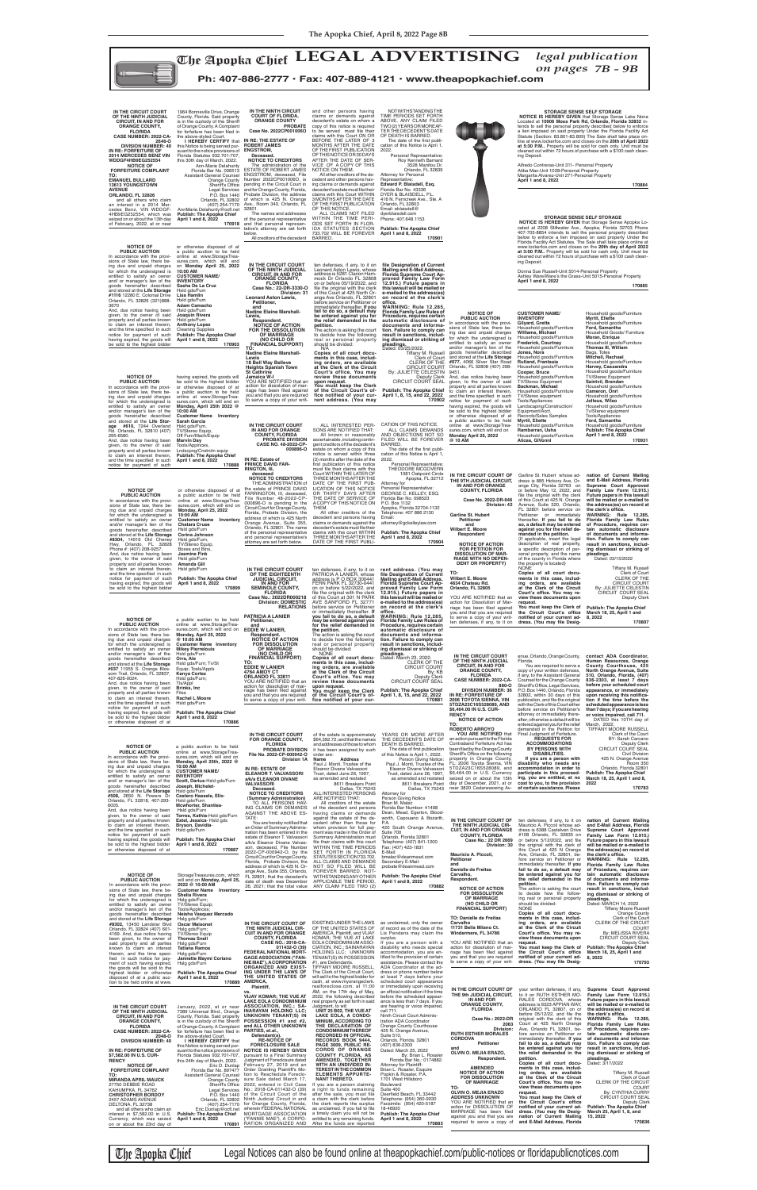

nit 311- Personal Property Atiba Mac-Unit 1028-Personal Property Margarita Alvarez-Unit 271-Personal Property

Jnit 5014-Personal Property the Grass-Unit 5015-Personal Property  **170885**

 **170884**

**STORAGE SENSE SELF STORAGE<br><b>NOTICE IS HEREBY GIVEN** that Storage Sense Apopka Lo-<br>cated at 2208 Stillwater Ave., Apopka, Florida 32703 Phone 407-703-8854 intends to sell the personal property described below to enforce a lien imposed on said property Under the tatutes. The Sale shall take place online at www.lockerfox.com and closes on the **20th day of April 2022 at 3:00 P.M..** Property will be sold for cash only. Unit must be fours of purchase with a \$100 cash clean-

a public auction to be held online at www.StorageTreasures.com, which will end on **Monday, April 25, 2022 @ 10:00 AM Customer Name Inventory Mikey Pierrelouis** Hsld gds/Furn **Orra, Ale** Hsld gds/Furn; Tv/St Equip; Tools/Appls **Kenya Cortez**

## **NOTICE OF<br>
<b>PUBLIC AUCTION**<br>
In accordance with the provi-<br>
sions of State law, there being due and unpaid charges for which the undersigned is entitled to satisfy an owner and/or manager's lien of the goods hereinafter described and stored at the **Life Storage #8304,** 14916 Old Cheney Hwy, Orlando, FL 32828 Phone #: (407) 208-9257. And, due notice having been given, to the owner of said property and all parties known to claim an interest therein, and the time specified in such notice for payment of such having expired, the goods will be sold to the highest bidder **Monday, April 25, 2022 10:00 AM Chatara Cruse** Hsld gds/Furn **Corina Johnson** Hsld gds/Furn,<br>TV/Stereo Equip, Boxes and Bins, **Jasmine Fink** Hsld gds/Furn **Amanda Gill** Hsld gds/Furn

**NOTICE OF PUBLIC AUCTION** In accordance with the provi-sions of State law, there be-ing due and unpaid charges for which the undersigned is entitled to satisfy an owner<br>goods hereinafter described<br>and stored at the **Life Stor-<br>age #610**, 7244 Overland<br>**Rd.** Orlando, FL 32810 (407) 295-6580. And, due notice having been given, to the owner of said property and all parties known to claim an interest therein, and the time specifi ed in such notice for payment of such sures.com, which will end on **Customer Name Inventory Sarah Garcia** Hsld gds/Furn, TV/Stereo Equip, Off Furn/Mach/Equip

> ten defenses, if any, to it on<br>PATRICIA A LANIER, whose<br>address is P O BOX 300441<br>FERN PARK FL 32730-0441<br>on or before 5/22/2022, and **12.915.) Future papers in this lawsuit will be mailed or e-mailed to the address(es) on record at the clerk's**  office.<br>WARNING: Rule 12.285,<br>Florida Family Law Rules of<br>Procedure, requires certain **automatic disclosure of documents and informa-tion. Failure to comply can result in sanctions, including dismissal or striking of**

## **Publish: The Apopka Chief April 1 and 8, 2022 170899 IN THE CIRCUIT COURT OF THE EIGHTEENTH JUDICIAL CIRCUIT, IN AND FOR SEMINOLE COUNTY,**

**FLORIDA Case No.: 2022DR000218 Division: DOMESTIC RELATIONS PATRICIA A LANIER Petitioner,** and<br>**EDDIE W LANIER, EDDIE W LANIER, Respondent. NOTICE OF ACTION FOR DISSOLUTION OF MARRIAGE (NO CHILD OR FINANCIAL SUPPORT) TO: EDDIE W LANIER**

file the original with the clerk<br>of this Court at 301 N PARK<br>AVE SANFORD FL 32771<br>before service on Petitioner or immediately thereafter. **If you fail to do so, a default may be entered against you for the relief demanded in the action is asking the court**<br>to decide how the following<br>real or personal property<br>should be divided:<br>NONE<br>**Copies of all court docu-**

The date of the first publication of this Notice is April 1, Personal Representative: THEODORE MCGOVERN 1081 Oakpoint Circle Apopka, FL 32712

All other creditors of the<br>decedent and persons having<br>claims or demands against the<br>decedent's estate must file their

must file their claims with this<br>Court WITHIN THE LATER OF THREE MONTHS AFTER THE<br>DATE OF THE FIRST PUB-<br>LICATION OF THIS NOTICE<br>OR THIRTY DAYS AFTER<br>THE DATE OF SERVICE OF<br>ACOPY OF THIS NOTICE ON Attorney for Personal Representative: GEORGE C. KELLEY, ESQ. Florida Bar No. 098523 P.O. Box 1132 Apopka, Florida 32704-1132 Telephone: 407 886 2130 Email: attorney@gckelleylaw.com

**ments in this case, includ-ing orders, are available at the Clerk of the Circuit pleadings.** Dated: March 23, 2022.

**Marvin Day** Tools/Applnces, Lndscpng/Cnstrctn equip **Publish: The Apopka Chief April 1 and 8, 2022 170888 PROBATE DIVISION CASE NO. 48-2022-CP-IN RE: Estate of PRINCE DAVID FAR-RINGTON, III, deceased**

miture rniture miture miture rniture rniture TV/Stereo Equipment **Backman, Michael** Household goods/Furniture TV/Stereo equipment Tools/Appliances Landscaping/Construction/ Equipment/Acct. Records/Sales Samples **Myrtil, Eliette** Household goods/Furniture **Rambarran, Usha** Household goods/Furniture **Alicea, GiVonni** Household goods/Furniture **Myrtil, Eliette** Household goods/Furniture **Ford, Samantha** Bags, Totes **Mitchell, Rachael** TV/Stereo Equipment **Saintvil, Brandan** Tv/Stereo equipment Tools/Appliances

or otherwise disposed of at a public auction to be held online at www.StorageTreasures.com, which will end on **Customer Name Inventory NOTICE TO CREDITORS**<br>
THE ADMINISTRATION of<br>
the estate of PRINCE DAVID<br>
FARRINGTON, III, deceased,<br>
File Number 48-2022-CP-<br>
000896-O is pending in the Circuit Court for Orange County, Florida, Probate Division, the address of which is 425 North Orange Avenue, Suite 355, Orlando, FL 32801. The name of the personal representative and personal representative's attorney are set forth below.

**Monday, April 25th 2022 @ 10:00 AM IN THE CIRCUIT COURT IN AND FOR ORANGE COUNTY, FLORIDA** YOU ARE NOTIFIED that an action for dissolution of marriage has been filed against you and that you are required to serve a copy of your writ-

> Garline St. Hubert whose ad-<br>dress is 885 Hickory Ave, Or-<br>ange City, Florida 32763 on<br>or before May 12, 2022, and<br>file the original with the clerk<br>of this Court at 425 N. Orange<br>Avenue, Suite 320, Orlando,<br>FL 32801 before Petitioner or immediately thereafter. **If you fail to do so, a default may be entered against you for the relief de-<br><b>against you for the relief de-**<br>**manded in the petition.** {If applicable, insert the legal description of real property,<br>a specific description of personal property, and the name of the county in Florida where the property is located} **Copies of all court docu-ments in this case, includ**ing orders, are available<br>at the Clerk of the Circuit<br>Court's office. You may re**nation of Current Mailing and E-Mail Address, Florida Supreme Court Approved Family Law Form 12.915.)**  Future papers in this lawsuit<br>will be mailed or e-mailed to<br>the address(es) on record at<br>the clerk's office. **WARNING: Rule 12.285, Florida Family Law Rules of Procedure, requires cer-tain automatic disclosure of documents and information. Failure to comply can result in sanctions, includ-ing dismissal or striking of pleadings.** Dated: 03/15/2022 Tiffany M. Russell Clerk of Court CLERK OF THE CIRCUIT COURT By: JULIETTE CELESTIN CIRCUIT COURT SEAL

**000896-O**

THEM.

| som Trail, Orlando, FL 32837,<br>407-826-0024.<br>And, due notice having been<br>given, to the owner of said<br>property and all parties known<br>to claim an interest therein,<br>and the time specified in such<br>notice for payment of such<br>having expired, the goods will<br>be sold to the highest bidder<br>or otherwise disposed of at<br><b>NOTICE OF</b><br><b>PUBLIC AUCTION</b><br>In accordance with the provi-<br>sions of State law, there be-<br>ing due and unpaid charges<br>for which the undersigned is<br>entitled to satisfy an owner<br>and/ or manager's lien of the<br>goods hereinafter described                                                                                                              | Kenya Cortez<br>Hsld gds/Furn;<br>TIs/Appl<br>Brinks, Inc<br>Files<br>Rachel L Moore<br>Hsld gds/Furn<br><b>Publish: The Apopka Chief</b><br>April 1 and 8, 2022<br>170886<br>a public auction to be held<br>online at www.StorageTrea-<br>sures.com, which will end on<br>Monday, April 25th, 2022 @<br>10:00 AM<br><b>CUSTOMER NAME/</b><br><b>INVENTORY</b><br>Scott, Darius-Hsld gds/Furn<br>Joseph, Michelet-                                                                                                                                                                                                                                                                                                 | <b>4764 AMOY CT</b><br>ORLANDO FL 32811<br>YOU ARE NOTIFIED that an<br>action for dissolution of mar-<br>riage has been filed against<br>you and that you are required<br>to serve a copy of your writ-<br>IN THE CIRCUIT COURT<br>FOR ORANGE COUNTY,<br><b>FLORIDA</b><br><b>PROBATE DIVISION</b><br>File No. 2022-CP-000942-O<br><b>Division 1A</b><br>IN RE: ESTATE OF<br><b>ELEANOR T. VALVASSORI</b><br>a/k/a ELEANOR DIVANE<br><b>VALVASSORI</b>                                                                                                                                                                                                                                                                                                                                                                                                                                                                                       | at the Clerk of the Circuit<br>Court's office. You may<br>review these documents<br>upon request.<br>You must keep the Clerk<br>of the Circuit Court's of-<br>fice notified of your cur-<br>of the estate is approximately<br>\$64,392.72; and that the names<br>and addresses of those to whom<br>it has been assigned by such<br>order are:<br>Name<br>Address<br>Paul J. Monti, Trustee of the<br>Eleanor Divane Valvassori<br>Trust, dated June 26, 1997,<br>as amended and restated<br>8611 Breakers Point<br>Dallas, TX 75243                                                                                                                                                                                                                                                                                                                                                                                                                                                                             | By: KB<br>Deputy Clerk<br>CIRCUIT COURT SEAL<br><b>Publish: The Apopka Chief</b><br>April 1, 8, 15, and 22, 2022<br>170881<br>YEARS OR MORE AFTER<br>THE DECEDENT'S DATE OF<br>DEATH IS BARRED.<br>The date of first publication<br>of this Notice is April 1, 2022.<br>Person Giving Notice:<br>Paul J. Monti, Trustee of the<br>Eleanor Divane Valvassori<br>Trust, dated June 26, 1997.<br>as amended and restated<br>8611 Breakers Point<br>Dallas, TX 75243                                                                                                                                                                                                                                                                                                                                                                                                                       | URANGE COUNT.<br><b>FLORIDA</b><br>CASE NUMBER: 2022-CA-<br>880-O<br><b>DIVISION NUMBER: 36</b><br>IN RE: FORFEITURE OF<br>2006 TOYOTA SIENNA, VIN<br>5TDZA23C16S528089, AND<br>\$6,464.00 IN U.S. CUR-<br><b>RENCY</b><br><b>NOTICE OF ACTION</b><br>TO:<br><b>ROBERTO ARROYO</b><br>YOU ARE NOTIFIED that<br>an action pursuant to the Florida<br>Contraband Forfeiture Act has<br>been filed by the Orange County<br>Sheriff's Office on the following<br>property in Orange County,<br>FL: 2006 Toyota Sienna, VIN<br>5TDZA23C16S528089, and<br>\$6,464.00 in U.S. Currency<br>seized on or about the 15th<br>day of December, 2021, at or<br>near 3820 Cedarwaxwing Av- | CODY OF YOUR WITHEN GETERISES<br>if any, to the Assistant General<br>Counsel for the Orange County<br>Sheriff's Office, Legal Services,<br>P.O. Box 1440, Orlando, Florida<br>32802, within 30 days of this<br>publication, and file the original<br>with the Clerk of this Court either<br>before service on Petitioner's<br>attorney or immediately there-<br>after; otherwise a default will be<br>entered against you for the relief<br>demanded in the Petition for<br>Final Judgment of Forfeiture.<br><b>REQUESTS FOR</b><br><b>ACCOMMODATIONS</b><br><b>BY PERSONS WITH</b><br><b>DISABILITIES.</b><br>If you are a person with<br>disability who needs any<br>accommodation in order to<br>participate in this proceed-<br>ing, you are entitled, at no<br>cost to you, to the provision<br>of certain assistance. Please             | North Orange Avenue, Suite<br>510, Orlando, Florida, (407)<br>836-2303, at least 7 days<br>before your scheduled court<br>appearance, or immediately<br>upon receiving this notifica-<br>tion if the time before the<br>scheduled appearance is less<br>than 7 days; if you are hearing<br>or voice impaired, call 711.<br>DATED this 10TH day of<br>March, 2022.<br>TIFFANY MOORE RUSSELL<br>Clerk of the Court<br>BY: Sarah Carcano<br>Deputy Clerk<br>CIRCUIT COURT SEAL<br><b>Civil Division</b><br>425 N. Orange Avenue<br>Room 350<br>Orlando, Florida 32801<br><b>Publish: The Apopka Chief</b><br>March 18, 25, April 1 and 8,<br>2022<br>170783                                            |
|---------------------------------------------------------------------------------------------------------------------------------------------------------------------------------------------------------------------------------------------------------------------------------------------------------------------------------------------------------------------------------------------------------------------------------------------------------------------------------------------------------------------------------------------------------------------------------------------------------------------------------------------------------------------------------------------------------------------------------------------|--------------------------------------------------------------------------------------------------------------------------------------------------------------------------------------------------------------------------------------------------------------------------------------------------------------------------------------------------------------------------------------------------------------------------------------------------------------------------------------------------------------------------------------------------------------------------------------------------------------------------------------------------------------------------------------------------------------------|----------------------------------------------------------------------------------------------------------------------------------------------------------------------------------------------------------------------------------------------------------------------------------------------------------------------------------------------------------------------------------------------------------------------------------------------------------------------------------------------------------------------------------------------------------------------------------------------------------------------------------------------------------------------------------------------------------------------------------------------------------------------------------------------------------------------------------------------------------------------------------------------------------------------------------------------|-----------------------------------------------------------------------------------------------------------------------------------------------------------------------------------------------------------------------------------------------------------------------------------------------------------------------------------------------------------------------------------------------------------------------------------------------------------------------------------------------------------------------------------------------------------------------------------------------------------------------------------------------------------------------------------------------------------------------------------------------------------------------------------------------------------------------------------------------------------------------------------------------------------------------------------------------------------------------------------------------------------------|----------------------------------------------------------------------------------------------------------------------------------------------------------------------------------------------------------------------------------------------------------------------------------------------------------------------------------------------------------------------------------------------------------------------------------------------------------------------------------------------------------------------------------------------------------------------------------------------------------------------------------------------------------------------------------------------------------------------------------------------------------------------------------------------------------------------------------------------------------------------------------------|------------------------------------------------------------------------------------------------------------------------------------------------------------------------------------------------------------------------------------------------------------------------------------------------------------------------------------------------------------------------------------------------------------------------------------------------------------------------------------------------------------------------------------------------------------------------------------------------------------------------------------------------------------------------------|------------------------------------------------------------------------------------------------------------------------------------------------------------------------------------------------------------------------------------------------------------------------------------------------------------------------------------------------------------------------------------------------------------------------------------------------------------------------------------------------------------------------------------------------------------------------------------------------------------------------------------------------------------------------------------------------------------------------------------------------------------------------------------------------------------------------------------------------|-----------------------------------------------------------------------------------------------------------------------------------------------------------------------------------------------------------------------------------------------------------------------------------------------------------------------------------------------------------------------------------------------------------------------------------------------------------------------------------------------------------------------------------------------------------------------------------------------------------------------------------------------------------------------------------------------------|
| and stored at the Life Storage<br>#508, 2650 N. Powers Dr<br>Orlando, FL 32818, 407-293-<br>6005.<br>And, due notice having been<br>given, to the owner of said<br>property and all parties known<br>to claim an interest therein,<br>and the time specified in such<br>notice for payment of such<br>having expired, the goods will<br>be sold to the highest bidder<br>or otherwise disposed of at                                                                                                                                                                                                                                                                                                                                        | Hsld gds/Furn<br>Cestero Hassele, Ello-<br>Hsld gds/Furn<br>Mcwhorter, Shantiea-<br>Hsld gds/Furn<br>Torres, Kathia-Hsld gds/Furn<br>Estel, Jessica-Hsld gds<br>Bryson, Davidia-<br>Hsld gds/Furn<br><b>Publish: The Apopka Chief</b><br>April 1 and 8, 2022<br>170887                                                                                                                                                                                                                                                                                                                                                                                                                                             | Deceased.<br><b>NOTICE TO CREDITORS</b><br>(Summary Administration)<br>TO ALL PERSONS HAV-<br>ING CLAIMS OR DEMANDS<br>AGAINST THE ABOVE ES-<br>TATE:<br>You are hereby notified that<br>an Order of Summary Adminis-<br>tration has been entered in the<br>estate of Eleanor T. Valvassori<br>a/k/a Eleanor Divane Valvas-<br>sori, deceased, File Number<br>2022-CP-000942-O, by the<br>Circuit Court for Orange County,<br>Florida, Probate Division, the                                                                                                                                                                                                                                                                                                                                                                                                                                                                                 | ALL INTERESTED PERSONS<br>ARE NOTIFIED THAT:<br>All creditors of the estate<br>of the decedent and persons<br>having claims or demands<br>against the estate of the de-<br>cedent other than those for<br>whom provision for full pay-<br>ment was made in the Order of<br>Summary Administration must<br>file their claims with this court<br>WITHIN THE TIME PERIODS<br>SET FORTH IN FLORIDA<br>STATUTES SECTION 733.702.<br>ALL CLAIMS AND DEMANDS                                                                                                                                                                                                                                                                                                                                                                                                                                                                                                                                                           | Attorney for<br>Person Giving Notice<br>Brian M. Malec<br>Florida Bar Number: 41498<br>Dean, Mead, Egerton, Blood-<br>worth, Capouano & Bozarth,<br>P.A.<br>420 South Orange Avenue,<br>Suite 700<br>Orlando, Florida 32801<br>Telephone: (407) 841-1200<br>Fax: (407) 423-1831<br>E-Mail:<br>bmalec@deanmead.com<br>Secondary E-Mail:<br>probate@deanmead.com                                                                                                                                                                                                                                                                                                                                                                                                                                                                                                                         | IN THE CIRCUIT COURT OF<br>THE NINTH JUDICIAL CIR-<br><b>CUIT, IN AND FOR ORANGE</b><br><b>COUNTY, FLORIDA</b><br>Case No.: 22 DR 2669<br>Division: 30<br>Mauricio A. Piccoli,<br><b>Petitioner</b><br>and                                                                                                                                                                                                                                                                                                                                                                                                                                                                   | ten defenses, if any, to it on<br>Mauricio A. Piccoli whose ad-<br>dress is 6388 Castelven Drive<br>#108 Orlando, FL 32835 on<br>or before 5/12/2022, and file<br>the original with the clerk of<br>this Court at 425 N Orange<br>Ave, Orlando, FL 32801, be-<br>fore service on Petitioner or<br>immediately thereafter. If you                                                                                                                                                                                                                                                                                                                                                                                                                                                                                                               | nation of Current Mailing<br>and E-Mail Address, Florida<br>Supreme Court Approved<br>Family Law Form 12.915.)<br>Future papers in this lawsuit<br>will be mailed or e-mailed to<br>the address(es) on record at<br>the clerk's office.<br>WARNING: Rule 12.285.<br>Florida Family Law Rules                                                                                                                                                                                                                                                                                                                                                                                                        |
| <b>NOTICE OF</b><br>PUBLIC AUCTION<br>In accordance with the provi-<br>sions of State law, there be-<br>ing due and unpaid charges<br>for which the undersigned is<br>entitled to satisfy an owner<br>and/or manager's lien of the<br>goods hereinafter described<br>and stored at the Life Storage<br>#8302, 13450 Landstar Blvd<br>Orlando, FL 32824 (407) 601-<br>4169. And, due notice having<br>been given, to the owner of<br>said property and all parties<br>known to claim an interest<br>therein, and the time speci-<br>fied in such notice for pay-<br>ment of such having expired,                                                                                                                                             | StorageTreasures.com, which<br>will end on Monday, April 25,<br>2022 @ 10:00 AM<br><b>Customer Name</b> Inventory<br><b>Shelia Rivera</b><br>Hslg gds/Furn;<br>TV/Stereo Equip;<br>Tools/AppInces;<br>Neisha Vasquez Mercado<br>Hslg gds/Furn<br><b>Oscar Maisonet</b><br>Hslg gds/Furn;<br><b>TV/Stereo Equip</b><br><b>Thomas Snell</b><br>Hslg gds/Furn<br><b>Tatiana Ramos</b><br>Hslg gds/Furn<br>Jannette Maymi Coriano<br>Hslg gds/Furn                                                                                                                                                                                                                                                                     | address of which is 425 N. Or-<br>ange Ave., Suite 355, Orlando,<br>FL 32801: that the decedent's<br>date of death was December<br>26, 2021; that the total value<br>IN THE CIRCUIT COURT OF<br>THE NINTH JUDICIAL CIR-<br><b>CUIT IN AND FOR ORANGE</b><br><b>COUNTY, FLORIDA</b><br><b>CASE NO.: 2018-CA-</b><br>011432-0 (39)<br>FEDERAL NATIONAL MORT-<br><b>GAGE ASSOCIATION ("FAN-</b><br>NIE MAE"), ACORPORATION                                                                                                                                                                                                                                                                                                                                                                                                                                                                                                                      | NOT SO FILED WILL BE<br>FOREVER BARRED. NOT-<br>WITHSTANDING ANY OTHER<br>APPLICABLE TIME PERIOD,<br>ANY CLAIM FILED TWO (2)<br>EXISTING UNDER THE LAWS<br>OF THE UNITED STATES OF<br>AMERICA, Plaintiff, and VIJAY<br>KOMAR; THE VUE AT LAKE<br>EOLA CONDOMINIUM ASSO-<br>CIATION, INC.; SAINARAYAN<br>HOLDING LLC; UNKNOWN<br>TENANT(S) IN POSSESSION<br>#1, are Defendants.                                                                                                                                                                                                                                                                                                                                                                                                                                                                                                                                                                                                                                  | <b>Publish: The Apopka Chief</b><br>April 1 and 8, 2022<br>170882<br>as unclaimed, only the owner<br>of record as of the date of the<br>Lis Pendens may claim the<br>surplus.<br>If you are a person with a<br>disability who needs special<br>accommodation, you are en-<br>titled to the provision of certain<br>assistance. Please contact the                                                                                                                                                                                                                                                                                                                                                                                                                                                                                                                                      | Danielle de Freitas<br>Carvalho,<br>Respondent.<br><b>NOTICE OF ACTION</b><br><b>FOR DISSOLUTION</b><br>OF MARRIAGE<br>(NO CHILD OR<br><b>FINANCIAL SUPPORT)</b><br><b>TO: Danielle de Freitas</b><br>Carvalho<br>11731 Bella Milano Ct.<br>Windermere, FL 34786<br>YOU ARE NOTIFIED that an<br>action for dissolution of mar-<br>riage has been filed against<br>you and that you are required<br>to serve a copy of your writ-                                                                                                                                                                                                                                             | fail to do so, a default may<br>be entered against you for<br>the relief demanded in the<br>petition.<br>The action is asking the court<br>to decide how the follow-<br>ing real or personal property<br>should be divided:<br><b>NONE</b><br>Copies of all court docu-<br>ments in this case, includ-<br>ing orders, are available<br>at the Clerk of the Circuit<br>Court's office. You may re-<br>view these documents upon<br>request.<br>You must keep the Clerk of<br>the Circuit Court's office<br>notified of your current ad-<br>dress. (You may file Desig-                                                                                                                                                                                                                                                                          | of Procedure, requires cer-<br>tain automatic disclosure<br>of documents and informa-<br>tion. Failure to comply can<br>result in sanctions, includ-<br>ing dismissal or striking of<br>pleadings.<br>Dated: MARCH 14, 2022<br><b>Tiffany Moore Russell</b><br>Orange County<br>Clerk of the Court<br>CLERK OF THE CIRCUIT<br><b>COURT</b><br>By: MELISSA RIVERA<br><b>CIRCUIT COURT SEAL</b><br>Deputy Clerk<br><b>Publish: The Apopka Chief</b><br>March 18, 25, April 1 and<br>8, 2022<br>170793                                                                                                                                                                                                 |
| the goods will be sold to the<br>highest bidder or otherwise<br>disposed of at a public auc-<br>tion to be held online at www.<br>IN THE CIRCUIT COURT<br>OF THE NINTH JUDICIAL<br><b>CIRCUIT, IN AND FOR</b><br><b>ORANGE COUNTY,</b><br><b>FLORIDA</b><br><b>CASE NUMBER: 2022-CA-</b><br>2048-O<br><b>DIVISION NUMBER: 40</b><br>IN RE: FORFEITURE OF<br>\$7.582.00 IN U.S. CUR-<br><b>RENCY</b><br><b>NOTICE OF</b><br><b>FORFEITURE COMPLAINT</b><br>TO:<br><b>MIRANDA APRIL MAUCK</b><br>27750 DEBBIE ROAD<br>KAHUMPKA, FL 34762<br><b>CHRISTOPHER BORDOY</b><br>2457 ADAMS AVENUE<br>DELTONA, FL 32738<br>and all others who claim an<br>interest in \$7,582.00 in U.S.<br>Currency, which was seized<br>on or about the 23rd day of | <b>Publish: The Apopka Chief</b><br>April 1 and 8, 2022<br>170889<br>January, 2022, at or near ASSOCIATION, INC.; SA-<br>7389 Universal Blvd., Orange<br>County, Florida. Said property<br>is in the custody of the Sheriff<br>of Orange County. A Complaint<br>for forfeiture has been filed in<br>the above-styled Court<br>I HEREBY CERTIFY that<br>this Notice is being served pur-<br>Florida Statutes 932.701-707,<br>this 24th day of March, 2022.<br>Eric D. Dunlap<br>Florida Bar No. 897477<br><b>Assistant General Counsel</b><br>Orange County<br>Sheriff's Office<br>Orlando, FL 32802<br>(407) 254-7170<br>Eric.Dunlap@ocfl.net<br><b>Publish: The Apopka Chief</b><br>April 1 and 8, 2022<br>170891 | ORGANIZED AND EXIST-<br>ING UNDER THE LAWS OF<br>THE UNITED STATES OF<br><b>AMERICA</b><br>Plaintiff,<br>VS.<br><b>VIJAY KOMAR: THE VUE AT</b><br><b>LAKE EOLA CONDOMINIUM</b><br><b>INARAYAN HOLDING LLC;</b><br><b>UNKNOWN TENANT(S) IN</b><br>POSSESSION #1 and #2,<br>and ALL OTHER UNKNOWN<br>PARTIES, et.al.<br>Defendant(s).<br><b>RE-NOTICE OF</b><br><b>FORECLOSURE SALE</b><br>suant to the notice provisions of NOTICE IS HEREBY GIVEN<br>pursuant to a Final Summary<br>Judgment of Foreclosure dated<br>February 27, 2019 and an<br>Order Granting Plaintiff's Mo-<br>tion to Reschedule Foreclo-<br>sure Sale dated March 17,<br>2022, entered in Civil Case<br>Legal Services No.: 2018-CA-011432-O (39)<br>P.O. Box 1440 of the Circuit Court of the<br>Ninth Judicial Circuit in and<br>for Orange County, Florida.<br>wherein FEDERAL NATIONAL<br>MORTGAGE ASSOCIATION<br>("FANNIE MAE"), A CORPO-<br>RATION ORGANIZED AND | TIFFANY MOORE RUSSELL<br>The Clerk of the Circuit Court,<br>will sell to the highest bidder for<br>cash, at www.myorangeclerk.<br>realforeclose.com, at 11:00<br>AM, on the 17th day of May,<br>2022, the following described<br>real property as set forth in said<br>Judgment, to wit:<br>UNIT 25 B02, THE VUE AT<br>LAKE EOLA, A CONDO-<br><b>MINIUM, ACCORDING TO</b><br>THE DECLARATION OF<br><b>CONDOMINIUM THEREOF</b><br><b>RECORDED IN OFFICIAL</b><br>RECORDS BOOK 9444,<br>PAGE 3009, PUBLIC RE-<br><b>CORDS OF ORANGE</b><br><b>COUNTY FLORIDA, AS</b><br>AMENDED, TOGETHER<br>WITH AN UNDIVIDED IN-<br><b>TEREST IN THE COMMON</b><br><b>ELEMENTS APPURTE-</b><br><b>NANT THERETO.</b><br>If you are a person claiming<br>a right to funds remaining<br>after the sale, you must file<br>a claim with the clerk before<br>the clerk reports the surplus<br>as unclaimed. If you fail to file<br>a timely claim you will not be<br>entitled to any remaining funds.<br>After the funds are reported | ADA Coordinator at the ad-<br>dress or phone number below<br>at least 7 days before your<br>scheduled court appearance<br>or immediately upon receiving<br>an official notification if the time<br>before the scheduled appear-<br>ance is less than 7 days. If you<br>are hearing or voice impaired,<br>call 711.<br>Ninth Circuit Court Adminis-<br>tration ADA Coordinator<br>Orange County Courthouse<br>425 N. Orange Avenue,<br>Suite 510,<br>Orlando, Florida, 32801<br>(407) 836-2303<br>Dated: March 25, 2022<br>By: Brian L. Rosaler<br>Florida Bar No.: 0174882.<br>Attorney for Plaintiff:<br>Brian L. Rosaler, Esquire<br>Popkin & Rosaler, P.A.<br>1701 West Hillsboro<br>Boulevard<br>Suite 400<br>Deerfield Beach, FL 33442<br>Telephone: (954) 360-9030<br>Facsimile: (954) 420-5187<br>18-46920<br><b>Publish: The Apopka Chief</b><br>April 1 and 8, 2022<br>170883 | IN THE CIRCUIT COURT OF<br>THE 9th JUDICIAL CIRCUIT,<br>IN AND FOR<br><b>ORANGE COUNTY.</b><br><b>FLORIDA</b><br>Case No.: 2022-DR<br>2063<br>Division:<br><b>RUTH ESTHER MORALES</b><br><b>CORDOVA</b><br>Petitioner<br>and<br>OLVIN O. MEJIA ERAZO,<br>Respondent.<br><b>AMENDED</b><br><b>NOTICE OF ACTION</b><br><b>FOR DISSOLUTION</b><br>OF MARRIAGE<br>TO:<br>OLVIN O. MEJIA ERAZO<br><b>ADDRESS UNKNOWN</b><br>YOU ARE NOTIFIED that an<br>action for DISSOLUTION OF<br>MARRIAGE has been filed<br>against you and that you are<br>required to serve a copy of                                                                                                       | your written defenses, if any,<br>to it on RUTH ESTHER MO-<br>RALES CORDOVA, whose<br>address is 6323 APPIAN WAY,<br>ORLANDO FL 32807, on or<br>before 05/12/22, and file the<br>original with the clerk of this<br>Court at 425 North Orange<br>Ave, Orlando FL 32801, be-<br>fore service on Petitioner or<br>immediately thereafter. If you<br>fail to do so, a default may<br>be entered against you for<br>the relief demanded in the<br>petition.<br>Copies of all court docu-<br>ments in this case, includ-<br>ing orders, are available<br>at the Clerk of the Circuit<br>Court's office. You may re-<br>view these documents upon<br>request.<br>You must keep the Clerk of<br>the Circuit Court's office<br>notified of your current ad-<br>dress. (You may file Desig-<br>nation of Current Mailing<br>and E-Mail Address, Florida | Supreme Court Approved<br>Family Law Form 12.915.)<br>Future papers in this lawsuit<br>will be mailed or e-mailed to<br>the address(es) on record at<br>the clerk's office.<br>WARNING: Rule 12.285,<br>Florida Family Law Rules<br>of Procedure, requires cer-<br>tain automatic disclosure<br>of documents and informa-<br>tion. Failure to comply can<br>result in sanctions, includ-<br>ing dismissal or striking of<br>pleadings.<br>Dated: 3/17/2022<br>Tiffany M. Russell<br>Clerk of Court<br>CLERK OF THE CIRCUIT<br><b>COURT</b><br>By: CYNTHIA CURRY<br><b>CIRCUIT COURT SEAL</b><br>Deputy Clerk<br><b>Publish: The Apopka Chief</b><br>March 25, April 1, 8, and<br>15, 2022<br>170836 |

The Apopka Chief Legal Notices can also be found online at theapopkachief.com/public-notices or floridapublicnotices.com

claims with this court WITHIN THREE MONTHS AFTER THE DATE OF THE FIRST PUBLI-**April 1 and 8, 2022**

| IN THE CIRCUIT COURT<br>OF THE NINTH JUDICIAL<br><b>CIRCUIT, IN AND FOR</b><br><b>ORANGE COUNTY,</b><br><b>FLORIDA</b><br><b>CASE NUMBER: 2022-CA-</b><br>2646-O<br><b>DIVISION NUMBER: 40</b><br>IN RE: FORFEITURE OF<br><b>2014 MERCEDES BENZ VIN</b><br><b>WDDGF4HB9EG252554</b><br><b>NOTICE OF</b><br><b>FORFEITURE COMPLAINT</b><br>TO:<br><b>EMANUEL BULLARD</b><br><b>13613 YOUNGSTOWN</b><br><b>AVENUE</b><br>ORLANDO, FL 32826<br>and all others who claim<br>an interest in a 2014 Mer-<br>cedes Benz, VIN WDDGF-<br>4HB9EG252554, which was<br>seized on or about the 13th day<br>of February, 2022, at or near                             | 1964 Bonneville Drive, Orange<br>County, Florida. Said property<br>is in the custody of the Sheriff<br>of Orange County. A Complaint<br>for forfeiture has been filed in<br>the above-styled Court.<br><b>I HEREBY CERTIFY that</b><br>this Notice is being served pur-<br>suant to the notice provisions of<br>Florida Statutes 932.701-707,<br>this 30th day of March, 2022.<br><b>Ann-Marie Delahunty</b><br>Florida Bar No. 006513<br>Assistant General Counsel<br>Orange County<br>Sheriff's Office<br><b>Legal Services</b><br>P.O. Box 1440<br>Orlando, FL 32802<br>(407) 254-7170<br>AnnMarie.Delahunty@ocfl.net 32801.<br><b>Publish: The Apopka Chief</b><br>April 1 and 8, 2022<br>170918 | IN THE NINTH CIRCUIT<br><b>COURT OF FLORIDA.</b><br><b>ORANGE COUNTY</b><br><b>PROBATE</b><br>Case No. 2022CP001006O<br>IN RE: THE ESTATE OF<br><b>ROBERT JAMES</b><br><b>ENGSTROM,</b><br>Deceased.<br><b>NOTICE TO CREDITORS</b><br>The administration of the<br><b>ESTATE OF ROBERT JAMES</b><br>ENGSTROM, deceased, File<br>Number 2022CP001006O, is<br>pending in the Circuit Court in<br>and for Orange County, Florida,<br>Probate Division, the address<br>of which is 425 N. Orange<br>Ave., Room 340, Orlando, FL<br>The names and addresses<br>of the personal representative<br>and that personal represen-<br>tative's attorney are set forth<br>below.<br>All creditors of the decedent | and other persons having<br>claims or demands against<br>decedent's estate on whom a<br>copy of this notice is required<br>to be served must file their<br>claims with this Court ON OR<br>BEFORE THE LATER OF 3<br>MONTHS AFTER THE DATE<br>OF THE FIRST PUBLICATION<br>OF THIS NOTICE OR 30 DAYS<br>AFTER THE DATE OF SER-<br>VICE OF A COPY OF THIS<br>NOTICE ON THEM.<br>All other creditors of the de-<br>cedent and other persons hav-<br>ing claims or demands against<br>decedent's estate must file their<br>claims with this Court WITHIN<br>3 MONTHS AFTER THE DATE<br>OF THE FIRST PUBLICATION<br>OF THIS NOTICE.<br>ALL CLAIMS NOT FILED<br>WITHIN THE TIME PERI-<br>ODS SET FORTH IN FLOR-<br>IDA STATUTES SECTION<br>733.702 WILL BE FOREVER<br>BARRED. | NOTWITHSTANDING THE<br>TIME PERIODS SET FORTH<br>ABOVE, ANY CLAIM FILED<br>TWO (2) YEARS OR MOREAF-<br>TER THE DECEDENT'S DATE<br>OF DEATH IS BARRED.<br>The date of the first publi-<br>cation of this Notice is April 1,<br>2022.<br>Personal Representative:<br>Roy Kenneth Barnard<br>3528 Manitou Dr.<br>Orlando, FL 32839<br><b>Attorney for Personal</b><br>Representative:<br>Edward P. Blaisdell, Esq.<br>Florida Bar No. 43336<br>DYER & BLAISDELL, P.L.<br>416 N. Ferncreek Ave., Ste. A<br>Orlando, FL 32803<br>Email: eblaisdell@<br>dyerblaisdell.com<br>Phone: 407.648.1153<br><b>Publish: The Apopka Chief</b><br>April 1 and 8, 2022<br>170901 |                                                                                                                                                                                                                                                                                                          | <b>STORA</b><br><b>NOTICE IS HEREB</b><br>Located at 10906 Mo<br>tends to sell the pers<br>a lien imposed on sa<br>Statute (Section: 83.<br>line at www.lockerfox<br>at 5:30 P.M Proper<br>cleaned out within 72<br>ing Deposit.<br>Alfredo Contreras-Un<br>Atiba Mac-Unit 1028-<br>Margarita Alvarez-Un<br>April 1 and 8, 2022<br><b>STORA</b><br><b>NOTICE IS HEREB</b><br>cated at 2208 Stillw<br>407-703-8854 intend<br>below to enforce a l |
|---------------------------------------------------------------------------------------------------------------------------------------------------------------------------------------------------------------------------------------------------------------------------------------------------------------------------------------------------------------------------------------------------------------------------------------------------------------------------------------------------------------------------------------------------------------------------------------------------------------------------------------------------------|------------------------------------------------------------------------------------------------------------------------------------------------------------------------------------------------------------------------------------------------------------------------------------------------------------------------------------------------------------------------------------------------------------------------------------------------------------------------------------------------------------------------------------------------------------------------------------------------------------------------------------------------------------------------------------------------------|-------------------------------------------------------------------------------------------------------------------------------------------------------------------------------------------------------------------------------------------------------------------------------------------------------------------------------------------------------------------------------------------------------------------------------------------------------------------------------------------------------------------------------------------------------------------------------------------------------------------------------------------------------------------------------------------------------|------------------------------------------------------------------------------------------------------------------------------------------------------------------------------------------------------------------------------------------------------------------------------------------------------------------------------------------------------------------------------------------------------------------------------------------------------------------------------------------------------------------------------------------------------------------------------------------------------------------------------------------------------------------------------------------------------------------------------------------------------------------------|-----------------------------------------------------------------------------------------------------------------------------------------------------------------------------------------------------------------------------------------------------------------------------------------------------------------------------------------------------------------------------------------------------------------------------------------------------------------------------------------------------------------------------------------------------------------------------------------------------------------------------------------------------------------|----------------------------------------------------------------------------------------------------------------------------------------------------------------------------------------------------------------------------------------------------------------------------------------------------------|--------------------------------------------------------------------------------------------------------------------------------------------------------------------------------------------------------------------------------------------------------------------------------------------------------------------------------------------------------------------------------------------------------------------------------------------------|
| <b>NOTICE OF</b><br><b>PUBLIC AUCTION</b><br>In accordance with the provi-<br>sions of State law, there be-<br>ing due and unpaid charges<br>for which the undersigned is<br>entitled to satisfy an owner<br>and/ or manager's lien of the<br>goods hereinafter described<br>and stored at the Life Storage<br>#1116 12280 E. Colonial Drive<br>Orlando, FL 32826 (321)888-<br>3670<br>And, due notice having been<br>given, to the owner of said<br>property and all parties known<br>to claim an interest therein,<br>and the time specified in such<br>notice for payment of such<br>having expired, the goods will<br>be sold to the highest bidder | or otherwise disposed of at<br>a public auction to be held<br>online at www.StorageTrea-<br>sures.com, which will end<br>on Monday April 25, 2022<br>10:00 AM<br><b>CUSTOMER NAME/</b><br><b>INVENTORY</b><br>Sasha De La Cruz<br>Hsld gds/Furn<br>Lisa Hamlin<br>Hsld gds/Furn<br><b>Adam Camacho</b><br>Hsld gds/Furn<br>Joaquin Rivera<br>Hsld gds/Furn<br><b>Anthony Lopez</b><br><b>Cleaning Supplies</b><br>Publish: The Apopka Chief<br>April 1 and 8, 2022<br>170903                                                                                                                                                                                                                         | IN THE CIRCUIT COURT<br>OF THE NINTH JUDICIAL<br><b>CIRCUIT, IN AND FOR</b><br><b>ORANGE COUNTY.</b><br><b>FLORIDA</b><br>Case No.: 22-DR-3330-O<br>Division: 31<br><b>Leonard Aston Lewis,</b><br>Petitioner,<br>and<br><b>Nadine Elaine Marshall-</b><br>Lewis,<br>Respondent.<br><b>NOTICE OF ACTION</b><br>FOR THE DISSOLUTION<br><b>OF MARRIAGE</b><br>(NO CHILD OR<br><b>FINANCIAL SUPPORT)</b><br>TO:                                                                                                                                                                                                                                                                                          | ten defenses, if any, to it on<br>Leonard Aston Lewis, whose<br>address is 5281 Clarion Ham-<br>mock Dr Orlando FL 32808<br>on or before 05/19/2022, and<br>file the original with the clerk<br>of this Court at 425 North Or-<br>ange Ave Orlando, FL 32801<br>before service on Petitioner or<br>immediately thereafter. If you<br>fail to do so, a default may<br>be entered against you for<br>the relief demanded in the<br>petition.<br>The action is asking the court<br>to decide how the following<br>real or personal property<br>should be divided:<br>N/A                                                                                                                                                                                                  | file Designation of Current<br>Mailing and E-Mail Address,<br>Florida Supreme Court Ap-<br>proved Family Law Form<br>12.915.) Future papers in<br>this lawsuit will be mailed or<br>e-mailed to the address(es)<br>on record at the clerk's<br>office.<br><b>WARNING: Rule 12.285.</b><br><b>Florida Family Law Rules of</b><br>Procedure, requires certain<br>automatic disclosure of<br>documents and informa-<br>tion. Failure to comply can<br>result in sanctions, includ-<br>ing dismissal or striking of<br>pleadings.<br>Dated: 03/25/2022.                                                                                                             | <b>NOTICE OF</b><br><b>PUBLIC AUCTION</b><br>In accordance with the provi-<br>sions of State law, there be-<br>ing due and unpaid charges<br>for which the undersigned is<br>entitled to satisfy an owner<br>and/or manager's lien of the                                                                | Florida Facility Act St<br>www.lockerfox.com a<br>at 3:00 P.M Proper<br>cleaned out within 72<br>ing Deposit.<br>Donna Sue Russell-U<br>Ashley Ware/Ware's<br>April 1 and 8, 2022<br><b>CUSTOMER NAME/</b><br><b>INVENTORY</b><br>Gilyard, Gretta<br>Household goods/Fur<br>Williams, Michael<br>Household goods/Fur<br><b>Frederick, Courtney</b><br>Household goods/Fur                                                                        |
| <b>NOTICE OF</b><br><b>PUBLIC AUCTION</b><br>In accordance with the provi-<br>sions of State law, there be-<br>ing due and unpaid charges                                                                                                                                                                                                                                                                                                                                                                                                                                                                                                               | having expired, the goods will<br>be sold to the highest bidder<br>or otherwise disposed of at<br>a public auction to be held<br>online at www.StorageTrea-                                                                                                                                                                                                                                                                                                                                                                                                                                                                                                                                          | <b>Nadine Elaine Marshall-</b><br>Lewis<br>18 Bell Way Belleve<br><b>Heights Spanish Town</b><br><b>St Cathrine</b><br>Jamaica W-I<br>YOU ARE NOTIFIED that an<br>action for dissolution of mar-<br>riage has been filed against<br>you and that you are required                                                                                                                                                                                                                                                                                                                                                                                                                                     | Copies of all court docu-<br>ments in this case, includ-<br>ing orders, are available<br>at the Clerk of the Circuit<br>Court's office. You may<br>review these documents<br>upon request.<br>You must keep the Clerk<br>of the Circuit Court's of-<br>fice notified of your cur-                                                                                                                                                                                                                                                                                                                                                                                                                                                                                      | Tiffany M. Russell<br>Clerk of Court<br>CLERK OF THE<br><b>CIRCUIT COURT</b><br>By: JULIETTE CELESTIN<br>Deputy Clerk<br>CIRCUIT COURT SEAL<br><b>Publish: The Apopka Chief</b><br>April 1, 8, 15, and 22, 2022                                                                                                                                                                                                                                                                                                                                                                                                                                                 | goods hereinafter described<br>and stored at the Life Storage<br>#077, 4066 Silver Star Road<br>Orlando, FL 32808 (407) 298-<br>9451.<br>And, due notice having been<br>given, to the owner of said<br>property and all parties known<br>to claim an interest therein,<br>and the time specified in such | Jones, Nora<br>Household goods/Fur<br>Rutland, Frantasia<br>Household goods/Fur<br>Cooper, Bruce<br>Household goods/Fur<br><b>TV/Stereo Equipmen</b><br>Backman, Michael<br>Household goods/Fur<br><b>TV/Stereo equipment</b>                                                                                                                                                                                                                    |

**Publish: The Apopka Chief**

**170904**

CLERK OF THE CIRCUIT COURT **IN THE CIRCUIT COURT OF THE NINTH JUDICIAL CIRCUIT, IN AND FOR ORANGE COUNTY,** 

**GE SENSE SELF STORAGE**<br>**SY GIVEN** that Storage Sense Lake Nona  **NOTICE IS HEREBY GIVEN** that Storage Sense Lake Nona Located at **10906 Moss Park Rd, Orlando, Florida 32832** intends to sell the personal property described below to enforce<br>a lien imposed on said property Under the Florida Facility Act<br>Statute (Section: 83.801-83.809) The Sale shall take place online at www.lockerfox.com and closes on the **20th of April 2022**<br>**at 5:30 P.M..** Property will be sold for cash only. Unit must be<br>cleaned out within 72 hours of purchase with a \$100 cash clean-

 ALL INTERESTED PER-SONS ARE NOTIFIED THAT: All known or reasonably ascertainable, including contin-gent creditors of the decedent's estate on whom a copy of this<br>notice is served within three<br>(3) months after the date of the<br>first publication of this notice BARRED. 2022. **review these documents upon request. You must keep the Clerk of the Circuit Court's of-fice notified of your cur-rent address. (You may** 

CATION OF THIS NOTICE. **Publish: The Apopka Chief April 1, 8, 15, and 22, 2022 170902**

 ALL CLAIMS DEMANDS AND OBJECTIONS NOT SO FILED WILL BE FOREVER to claim an interest therein,<br>and the time specified in such<br>notice for payment of such having expired, the goods will be sold to the highest bidder or otherwise disposed of at a public auction to be held online at www.StorageTrea-sures.com, which will end on **Monday April 25, 2022 @ 10 AM**

Household Goods/ Furniture **Moran, Enrique** Household goods/Furniture **Thomas III, William** Household goods/Furniture **Harvey, Cassandra** Household goods/Furniture Household goods/Furniture **Cameron, Onri** Household goods/Furniture **Jolteus, Wilso** Household goods/Furniture **Ford, Samantha** Household goods/Furniture **Publish: The Apopka Chief April 1 and 8, 2022 170931**

**IN THE CIRCUIT COURT OF THE 9TH JUDICIAL CIRCUIT, IN AND FOR ORANGE COUNTY, FLORIDA Case No. 2022-DR-946 Division: 42 Garline St. Hubert Petitioner and Wilbert E. Moore Respondent NOTICE OF ACTION FOR PETITION FOR DISSOLUTION OF MAR-RIAGE WITH NO DEPEN-DENT OR PROPERTY)**

action for Dissolution of Mar-riage has been fi led against you and that you are required to serve a copy of your writ-ten defenses, if any, to it on

NONE

**view these documents upon request. You must keep the Clerk of**  the Circuit Court's office<br>notified of your current ad-<br>dress. (You may file Desig-Deputy Clerk **Publish: The Apopka Chief March 18, 25, April 1 and 8, 2022**

**170807**

Florida.

rent address. (You may<br>file Designation of Current<br>Mailing and E-Mail Address,<br>Florida Supreme Court Ap-<br>proved Family Law Form **TO: Wilbert E. Moore 4634 Chateau Rd. Orlando, FL 32805** YOU ARE NOTIFIED that an

## enue, Orlando, Orange County, You are required to serve a copy of your written defenses, if any, to the Assistant General **contact ADA Coordinator, Human Resources, Orange County Courthouse, 425 North Orange Avenue, Suite**